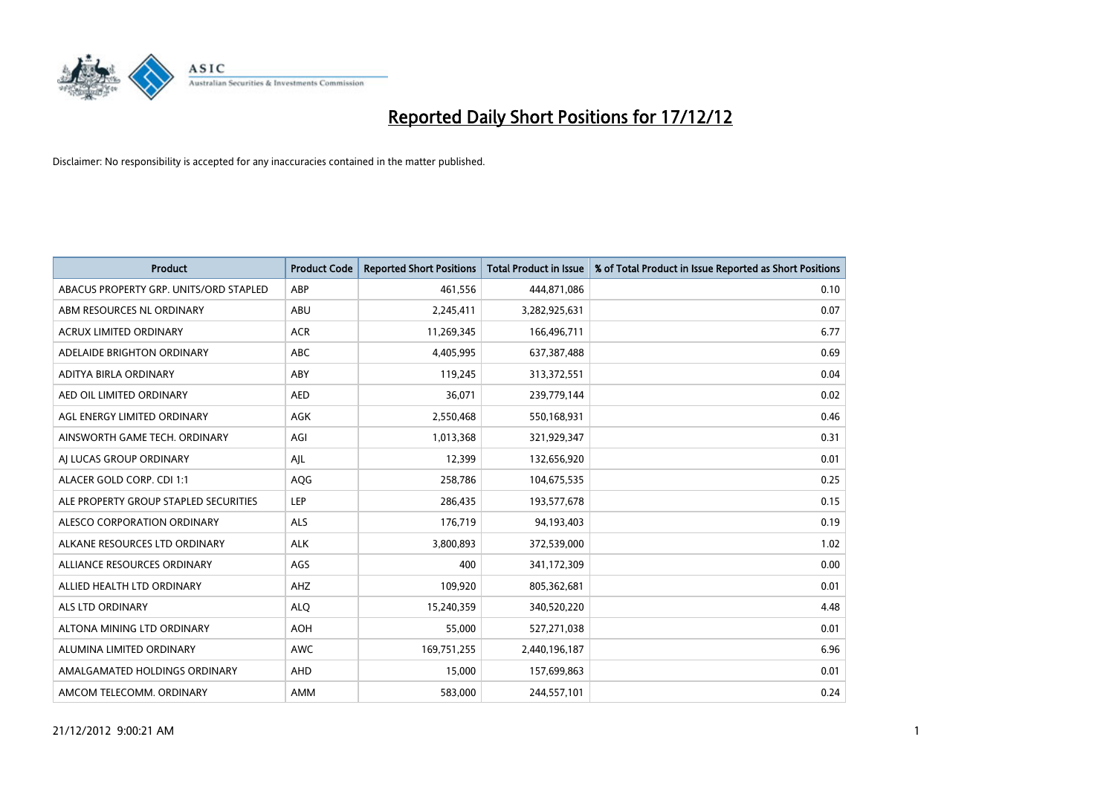

| <b>Product</b>                         | <b>Product Code</b> | <b>Reported Short Positions</b> | <b>Total Product in Issue</b> | % of Total Product in Issue Reported as Short Positions |
|----------------------------------------|---------------------|---------------------------------|-------------------------------|---------------------------------------------------------|
| ABACUS PROPERTY GRP. UNITS/ORD STAPLED | ABP                 | 461,556                         | 444,871,086                   | 0.10                                                    |
| ABM RESOURCES NL ORDINARY              | ABU                 | 2,245,411                       | 3,282,925,631                 | 0.07                                                    |
| <b>ACRUX LIMITED ORDINARY</b>          | <b>ACR</b>          | 11,269,345                      | 166,496,711                   | 6.77                                                    |
| ADELAIDE BRIGHTON ORDINARY             | <b>ABC</b>          | 4,405,995                       | 637, 387, 488                 | 0.69                                                    |
| ADITYA BIRLA ORDINARY                  | ABY                 | 119,245                         | 313,372,551                   | 0.04                                                    |
| AED OIL LIMITED ORDINARY               | <b>AED</b>          | 36,071                          | 239,779,144                   | 0.02                                                    |
| AGL ENERGY LIMITED ORDINARY            | <b>AGK</b>          | 2,550,468                       | 550,168,931                   | 0.46                                                    |
| AINSWORTH GAME TECH. ORDINARY          | AGI                 | 1,013,368                       | 321,929,347                   | 0.31                                                    |
| AI LUCAS GROUP ORDINARY                | AJL                 | 12,399                          | 132,656,920                   | 0.01                                                    |
| ALACER GOLD CORP. CDI 1:1              | AQG                 | 258,786                         | 104,675,535                   | 0.25                                                    |
| ALE PROPERTY GROUP STAPLED SECURITIES  | LEP                 | 286,435                         | 193,577,678                   | 0.15                                                    |
| ALESCO CORPORATION ORDINARY            | <b>ALS</b>          | 176,719                         | 94,193,403                    | 0.19                                                    |
| ALKANE RESOURCES LTD ORDINARY          | <b>ALK</b>          | 3,800,893                       | 372,539,000                   | 1.02                                                    |
| ALLIANCE RESOURCES ORDINARY            | AGS                 | 400                             | 341,172,309                   | 0.00                                                    |
| ALLIED HEALTH LTD ORDINARY             | <b>AHZ</b>          | 109,920                         | 805,362,681                   | 0.01                                                    |
| ALS LTD ORDINARY                       | <b>ALO</b>          | 15,240,359                      | 340,520,220                   | 4.48                                                    |
| ALTONA MINING LTD ORDINARY             | <b>AOH</b>          | 55,000                          | 527,271,038                   | 0.01                                                    |
| ALUMINA LIMITED ORDINARY               | <b>AWC</b>          | 169,751,255                     | 2,440,196,187                 | 6.96                                                    |
| AMALGAMATED HOLDINGS ORDINARY          | <b>AHD</b>          | 15,000                          | 157,699,863                   | 0.01                                                    |
| AMCOM TELECOMM, ORDINARY               | <b>AMM</b>          | 583.000                         | 244,557,101                   | 0.24                                                    |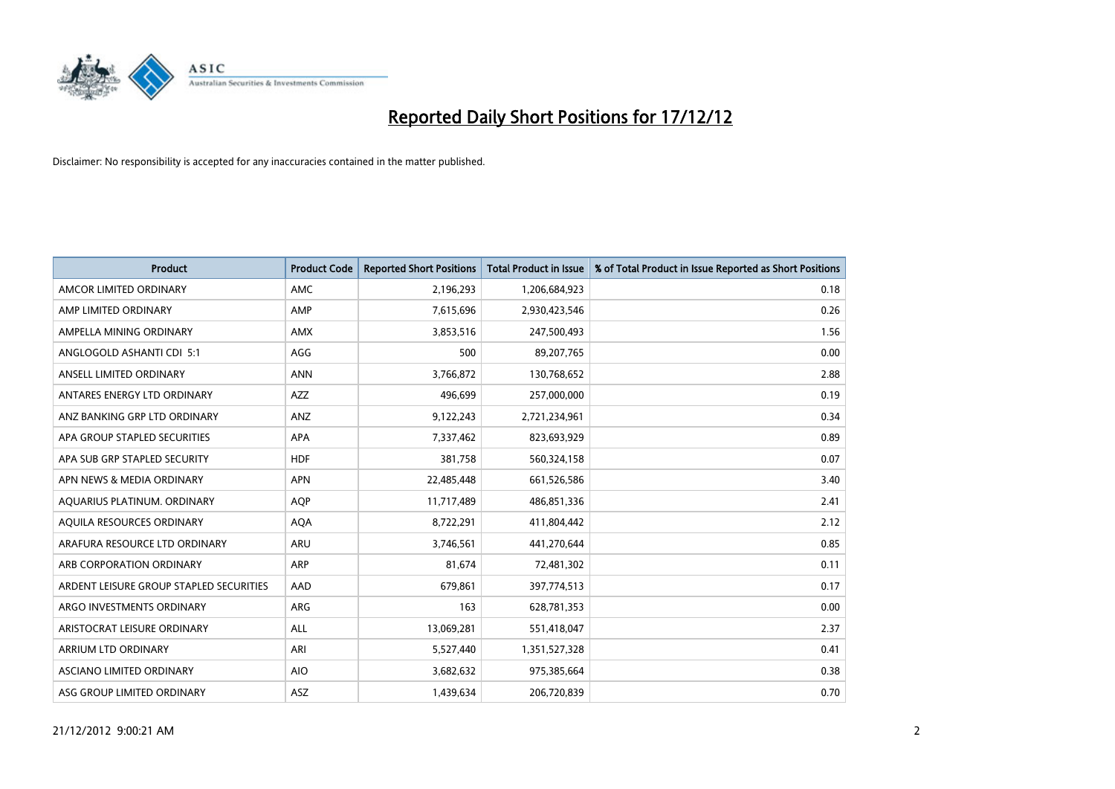

| <b>Product</b>                          | <b>Product Code</b> | <b>Reported Short Positions</b> | <b>Total Product in Issue</b> | % of Total Product in Issue Reported as Short Positions |
|-----------------------------------------|---------------------|---------------------------------|-------------------------------|---------------------------------------------------------|
| AMCOR LIMITED ORDINARY                  | <b>AMC</b>          | 2,196,293                       | 1,206,684,923                 | 0.18                                                    |
| AMP LIMITED ORDINARY                    | AMP                 | 7,615,696                       | 2,930,423,546                 | 0.26                                                    |
| AMPELLA MINING ORDINARY                 | <b>AMX</b>          | 3,853,516                       | 247,500,493                   | 1.56                                                    |
| ANGLOGOLD ASHANTI CDI 5:1               | AGG                 | 500                             | 89,207,765                    | 0.00                                                    |
| ANSELL LIMITED ORDINARY                 | <b>ANN</b>          | 3,766,872                       | 130,768,652                   | 2.88                                                    |
| ANTARES ENERGY LTD ORDINARY             | <b>AZZ</b>          | 496,699                         | 257,000,000                   | 0.19                                                    |
| ANZ BANKING GRP LTD ORDINARY            | ANZ                 | 9,122,243                       | 2,721,234,961                 | 0.34                                                    |
| APA GROUP STAPLED SECURITIES            | <b>APA</b>          | 7,337,462                       | 823,693,929                   | 0.89                                                    |
| APA SUB GRP STAPLED SECURITY            | <b>HDF</b>          | 381,758                         | 560,324,158                   | 0.07                                                    |
| APN NEWS & MEDIA ORDINARY               | <b>APN</b>          | 22,485,448                      | 661,526,586                   | 3.40                                                    |
| AQUARIUS PLATINUM. ORDINARY             | <b>AOP</b>          | 11,717,489                      | 486,851,336                   | 2.41                                                    |
| AQUILA RESOURCES ORDINARY               | <b>AQA</b>          | 8,722,291                       | 411,804,442                   | 2.12                                                    |
| ARAFURA RESOURCE LTD ORDINARY           | <b>ARU</b>          | 3,746,561                       | 441,270,644                   | 0.85                                                    |
| ARB CORPORATION ORDINARY                | <b>ARP</b>          | 81,674                          | 72,481,302                    | 0.11                                                    |
| ARDENT LEISURE GROUP STAPLED SECURITIES | AAD                 | 679,861                         | 397,774,513                   | 0.17                                                    |
| ARGO INVESTMENTS ORDINARY               | ARG                 | 163                             | 628,781,353                   | 0.00                                                    |
| ARISTOCRAT LEISURE ORDINARY             | <b>ALL</b>          | 13,069,281                      | 551,418,047                   | 2.37                                                    |
| ARRIUM LTD ORDINARY                     | <b>ARI</b>          | 5,527,440                       | 1,351,527,328                 | 0.41                                                    |
| ASCIANO LIMITED ORDINARY                | <b>AIO</b>          | 3,682,632                       | 975,385,664                   | 0.38                                                    |
| ASG GROUP LIMITED ORDINARY              | <b>ASZ</b>          | 1,439,634                       | 206,720,839                   | 0.70                                                    |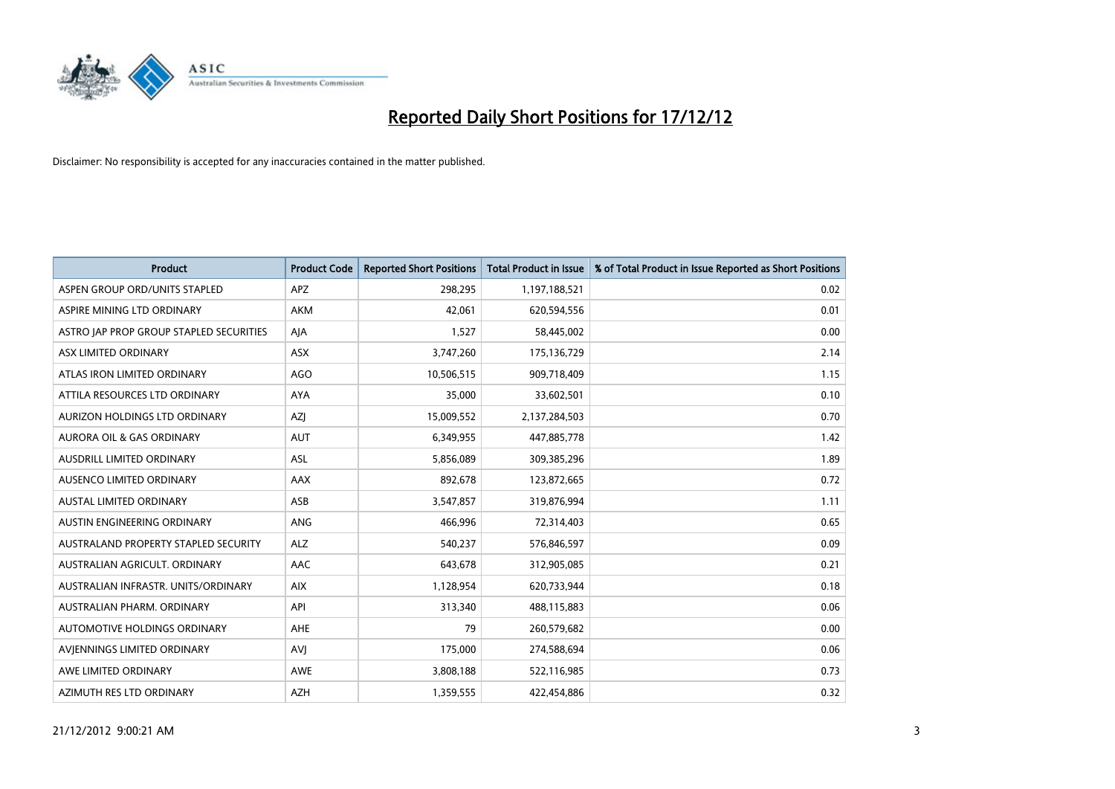

| <b>Product</b>                          | <b>Product Code</b> | <b>Reported Short Positions</b> | Total Product in Issue | % of Total Product in Issue Reported as Short Positions |
|-----------------------------------------|---------------------|---------------------------------|------------------------|---------------------------------------------------------|
| ASPEN GROUP ORD/UNITS STAPLED           | <b>APZ</b>          | 298,295                         | 1,197,188,521          | 0.02                                                    |
| ASPIRE MINING LTD ORDINARY              | AKM                 | 42,061                          | 620,594,556            | 0.01                                                    |
| ASTRO JAP PROP GROUP STAPLED SECURITIES | AIA                 | 1,527                           | 58,445,002             | 0.00                                                    |
| ASX LIMITED ORDINARY                    | <b>ASX</b>          | 3,747,260                       | 175,136,729            | 2.14                                                    |
| ATLAS IRON LIMITED ORDINARY             | <b>AGO</b>          | 10,506,515                      | 909,718,409            | 1.15                                                    |
| ATTILA RESOURCES LTD ORDINARY           | <b>AYA</b>          | 35,000                          | 33,602,501             | 0.10                                                    |
| AURIZON HOLDINGS LTD ORDINARY           | <b>AZI</b>          | 15,009,552                      | 2,137,284,503          | 0.70                                                    |
| <b>AURORA OIL &amp; GAS ORDINARY</b>    | <b>AUT</b>          | 6,349,955                       | 447,885,778            | 1.42                                                    |
| AUSDRILL LIMITED ORDINARY               | <b>ASL</b>          | 5,856,089                       | 309,385,296            | 1.89                                                    |
| AUSENCO LIMITED ORDINARY                | AAX                 | 892,678                         | 123,872,665            | 0.72                                                    |
| <b>AUSTAL LIMITED ORDINARY</b>          | ASB                 | 3,547,857                       | 319,876,994            | 1.11                                                    |
| AUSTIN ENGINEERING ORDINARY             | ANG                 | 466,996                         | 72,314,403             | 0.65                                                    |
| AUSTRALAND PROPERTY STAPLED SECURITY    | <b>ALZ</b>          | 540,237                         | 576,846,597            | 0.09                                                    |
| AUSTRALIAN AGRICULT, ORDINARY           | AAC                 | 643,678                         | 312,905,085            | 0.21                                                    |
| AUSTRALIAN INFRASTR, UNITS/ORDINARY     | <b>AIX</b>          | 1,128,954                       | 620,733,944            | 0.18                                                    |
| AUSTRALIAN PHARM. ORDINARY              | API                 | 313,340                         | 488,115,883            | 0.06                                                    |
| AUTOMOTIVE HOLDINGS ORDINARY            | AHE                 | 79                              | 260,579,682            | 0.00                                                    |
| AVIENNINGS LIMITED ORDINARY             | <b>AVI</b>          | 175,000                         | 274,588,694            | 0.06                                                    |
| AWE LIMITED ORDINARY                    | AWE                 | 3,808,188                       | 522,116,985            | 0.73                                                    |
| AZIMUTH RES LTD ORDINARY                | <b>AZH</b>          | 1,359,555                       | 422,454,886            | 0.32                                                    |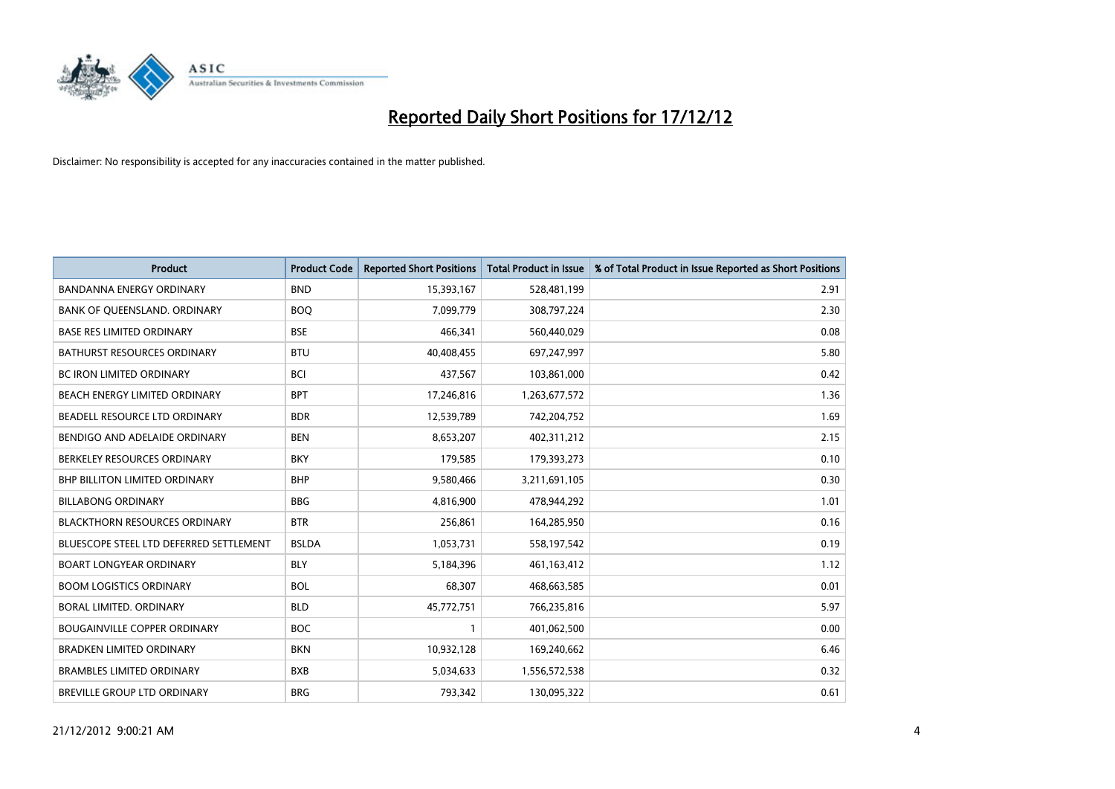

| <b>Product</b>                          | <b>Product Code</b> | <b>Reported Short Positions</b> | <b>Total Product in Issue</b> | % of Total Product in Issue Reported as Short Positions |
|-----------------------------------------|---------------------|---------------------------------|-------------------------------|---------------------------------------------------------|
| <b>BANDANNA ENERGY ORDINARY</b>         | <b>BND</b>          | 15,393,167                      | 528,481,199                   | 2.91                                                    |
| BANK OF QUEENSLAND. ORDINARY            | <b>BOQ</b>          | 7,099,779                       | 308,797,224                   | 2.30                                                    |
| <b>BASE RES LIMITED ORDINARY</b>        | <b>BSE</b>          | 466,341                         | 560,440,029                   | 0.08                                                    |
| BATHURST RESOURCES ORDINARY             | <b>BTU</b>          | 40,408,455                      | 697,247,997                   | 5.80                                                    |
| <b>BC IRON LIMITED ORDINARY</b>         | <b>BCI</b>          | 437,567                         | 103,861,000                   | 0.42                                                    |
| <b>BEACH ENERGY LIMITED ORDINARY</b>    | <b>BPT</b>          | 17,246,816                      | 1,263,677,572                 | 1.36                                                    |
| BEADELL RESOURCE LTD ORDINARY           | <b>BDR</b>          | 12,539,789                      | 742,204,752                   | 1.69                                                    |
| BENDIGO AND ADELAIDE ORDINARY           | <b>BEN</b>          | 8,653,207                       | 402,311,212                   | 2.15                                                    |
| BERKELEY RESOURCES ORDINARY             | <b>BKY</b>          | 179,585                         | 179,393,273                   | 0.10                                                    |
| <b>BHP BILLITON LIMITED ORDINARY</b>    | <b>BHP</b>          | 9,580,466                       | 3,211,691,105                 | 0.30                                                    |
| <b>BILLABONG ORDINARY</b>               | <b>BBG</b>          | 4,816,900                       | 478,944,292                   | 1.01                                                    |
| <b>BLACKTHORN RESOURCES ORDINARY</b>    | <b>BTR</b>          | 256,861                         | 164,285,950                   | 0.16                                                    |
| BLUESCOPE STEEL LTD DEFERRED SETTLEMENT | <b>BSLDA</b>        | 1,053,731                       | 558,197,542                   | 0.19                                                    |
| <b>BOART LONGYEAR ORDINARY</b>          | <b>BLY</b>          | 5,184,396                       | 461,163,412                   | 1.12                                                    |
| <b>BOOM LOGISTICS ORDINARY</b>          | <b>BOL</b>          | 68,307                          | 468,663,585                   | 0.01                                                    |
| BORAL LIMITED. ORDINARY                 | <b>BLD</b>          | 45,772,751                      | 766,235,816                   | 5.97                                                    |
| <b>BOUGAINVILLE COPPER ORDINARY</b>     | <b>BOC</b>          |                                 | 401,062,500                   | 0.00                                                    |
| <b>BRADKEN LIMITED ORDINARY</b>         | <b>BKN</b>          | 10,932,128                      | 169,240,662                   | 6.46                                                    |
| <b>BRAMBLES LIMITED ORDINARY</b>        | <b>BXB</b>          | 5,034,633                       | 1,556,572,538                 | 0.32                                                    |
| BREVILLE GROUP LTD ORDINARY             | <b>BRG</b>          | 793,342                         | 130,095,322                   | 0.61                                                    |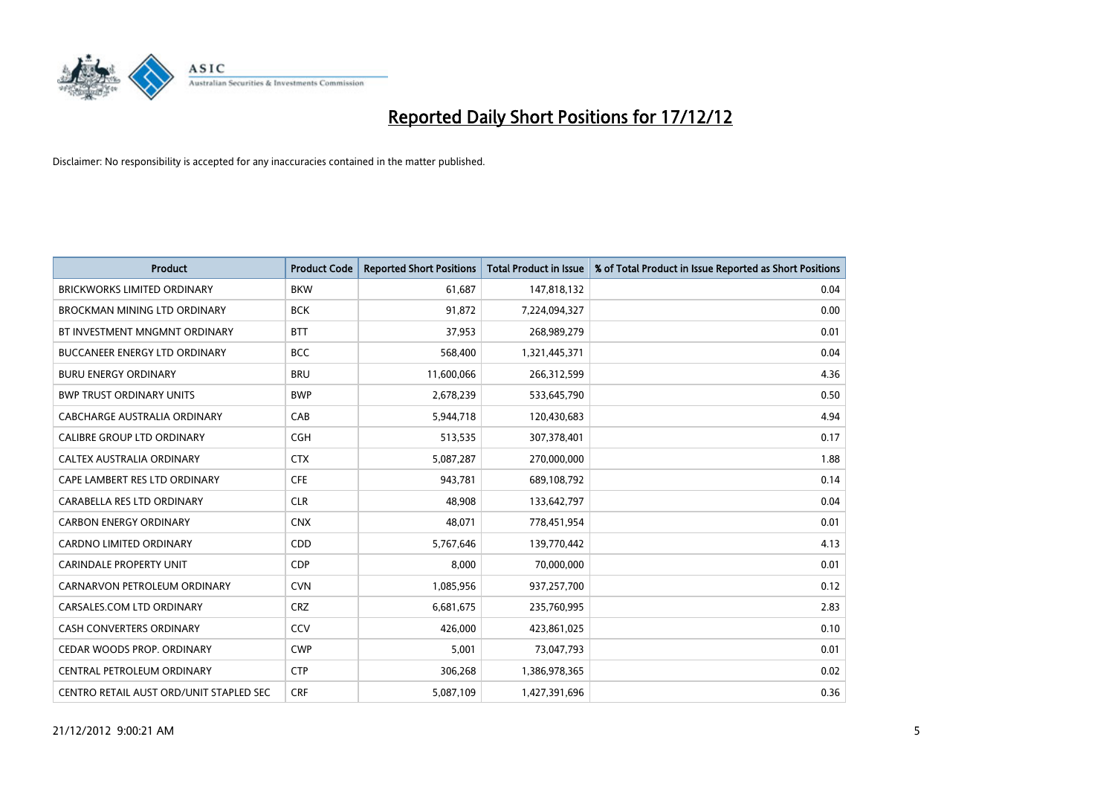

| <b>Product</b>                          | <b>Product Code</b> | <b>Reported Short Positions</b> | <b>Total Product in Issue</b> | % of Total Product in Issue Reported as Short Positions |
|-----------------------------------------|---------------------|---------------------------------|-------------------------------|---------------------------------------------------------|
| <b>BRICKWORKS LIMITED ORDINARY</b>      | <b>BKW</b>          | 61,687                          | 147,818,132                   | 0.04                                                    |
| <b>BROCKMAN MINING LTD ORDINARY</b>     | <b>BCK</b>          | 91,872                          | 7,224,094,327                 | 0.00                                                    |
| BT INVESTMENT MNGMNT ORDINARY           | <b>BTT</b>          | 37,953                          | 268,989,279                   | 0.01                                                    |
| BUCCANEER ENERGY LTD ORDINARY           | <b>BCC</b>          | 568,400                         | 1,321,445,371                 | 0.04                                                    |
| <b>BURU ENERGY ORDINARY</b>             | <b>BRU</b>          | 11,600,066                      | 266,312,599                   | 4.36                                                    |
| <b>BWP TRUST ORDINARY UNITS</b>         | <b>BWP</b>          | 2,678,239                       | 533,645,790                   | 0.50                                                    |
| CABCHARGE AUSTRALIA ORDINARY            | CAB                 | 5,944,718                       | 120,430,683                   | 4.94                                                    |
| <b>CALIBRE GROUP LTD ORDINARY</b>       | <b>CGH</b>          | 513,535                         | 307,378,401                   | 0.17                                                    |
| CALTEX AUSTRALIA ORDINARY               | <b>CTX</b>          | 5,087,287                       | 270,000,000                   | 1.88                                                    |
| CAPE LAMBERT RES LTD ORDINARY           | <b>CFE</b>          | 943.781                         | 689,108,792                   | 0.14                                                    |
| CARABELLA RES LTD ORDINARY              | <b>CLR</b>          | 48,908                          | 133,642,797                   | 0.04                                                    |
| <b>CARBON ENERGY ORDINARY</b>           | <b>CNX</b>          | 48,071                          | 778,451,954                   | 0.01                                                    |
| <b>CARDNO LIMITED ORDINARY</b>          | <b>CDD</b>          | 5,767,646                       | 139,770,442                   | 4.13                                                    |
| <b>CARINDALE PROPERTY UNIT</b>          | <b>CDP</b>          | 8.000                           | 70,000,000                    | 0.01                                                    |
| CARNARVON PETROLEUM ORDINARY            | <b>CVN</b>          | 1,085,956                       | 937,257,700                   | 0.12                                                    |
| CARSALES.COM LTD ORDINARY               | <b>CRZ</b>          | 6,681,675                       | 235,760,995                   | 2.83                                                    |
| <b>CASH CONVERTERS ORDINARY</b>         | CCV                 | 426,000                         | 423,861,025                   | 0.10                                                    |
| CEDAR WOODS PROP. ORDINARY              | <b>CWP</b>          | 5,001                           | 73,047,793                    | 0.01                                                    |
| CENTRAL PETROLEUM ORDINARY              | <b>CTP</b>          | 306,268                         | 1,386,978,365                 | 0.02                                                    |
| CENTRO RETAIL AUST ORD/UNIT STAPLED SEC | <b>CRF</b>          | 5,087,109                       | 1,427,391,696                 | 0.36                                                    |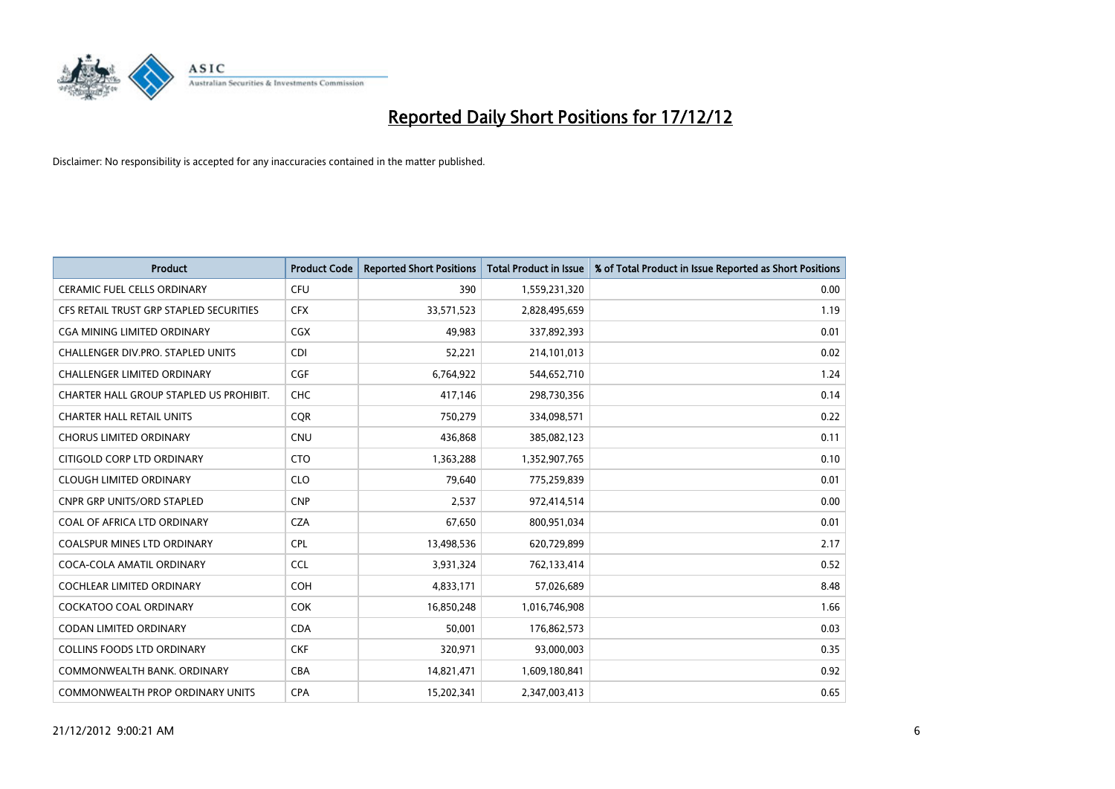

| <b>Product</b>                          | <b>Product Code</b> | <b>Reported Short Positions</b> | <b>Total Product in Issue</b> | % of Total Product in Issue Reported as Short Positions |
|-----------------------------------------|---------------------|---------------------------------|-------------------------------|---------------------------------------------------------|
| <b>CERAMIC FUEL CELLS ORDINARY</b>      | <b>CFU</b>          | 390                             | 1,559,231,320                 | 0.00                                                    |
| CFS RETAIL TRUST GRP STAPLED SECURITIES | <b>CFX</b>          | 33,571,523                      | 2,828,495,659                 | 1.19                                                    |
| <b>CGA MINING LIMITED ORDINARY</b>      | <b>CGX</b>          | 49,983                          | 337,892,393                   | 0.01                                                    |
| CHALLENGER DIV.PRO. STAPLED UNITS       | <b>CDI</b>          | 52,221                          | 214,101,013                   | 0.02                                                    |
| <b>CHALLENGER LIMITED ORDINARY</b>      | <b>CGF</b>          | 6,764,922                       | 544,652,710                   | 1.24                                                    |
| CHARTER HALL GROUP STAPLED US PROHIBIT. | <b>CHC</b>          | 417,146                         | 298,730,356                   | 0.14                                                    |
| <b>CHARTER HALL RETAIL UNITS</b>        | <b>CQR</b>          | 750,279                         | 334,098,571                   | 0.22                                                    |
| <b>CHORUS LIMITED ORDINARY</b>          | <b>CNU</b>          | 436,868                         | 385,082,123                   | 0.11                                                    |
| CITIGOLD CORP LTD ORDINARY              | <b>CTO</b>          | 1,363,288                       | 1,352,907,765                 | 0.10                                                    |
| <b>CLOUGH LIMITED ORDINARY</b>          | <b>CLO</b>          | 79,640                          | 775,259,839                   | 0.01                                                    |
| <b>CNPR GRP UNITS/ORD STAPLED</b>       | <b>CNP</b>          | 2,537                           | 972,414,514                   | 0.00                                                    |
| COAL OF AFRICA LTD ORDINARY             | <b>CZA</b>          | 67,650                          | 800,951,034                   | 0.01                                                    |
| <b>COALSPUR MINES LTD ORDINARY</b>      | <b>CPL</b>          | 13,498,536                      | 620,729,899                   | 2.17                                                    |
| COCA-COLA AMATIL ORDINARY               | <b>CCL</b>          | 3,931,324                       | 762,133,414                   | 0.52                                                    |
| <b>COCHLEAR LIMITED ORDINARY</b>        | <b>COH</b>          | 4,833,171                       | 57,026,689                    | 8.48                                                    |
| <b>COCKATOO COAL ORDINARY</b>           | <b>COK</b>          | 16,850,248                      | 1,016,746,908                 | 1.66                                                    |
| <b>CODAN LIMITED ORDINARY</b>           | <b>CDA</b>          | 50,001                          | 176,862,573                   | 0.03                                                    |
| COLLINS FOODS LTD ORDINARY              | <b>CKF</b>          | 320,971                         | 93,000,003                    | 0.35                                                    |
| COMMONWEALTH BANK, ORDINARY             | <b>CBA</b>          | 14,821,471                      | 1,609,180,841                 | 0.92                                                    |
| COMMONWEALTH PROP ORDINARY UNITS        | <b>CPA</b>          | 15,202,341                      | 2,347,003,413                 | 0.65                                                    |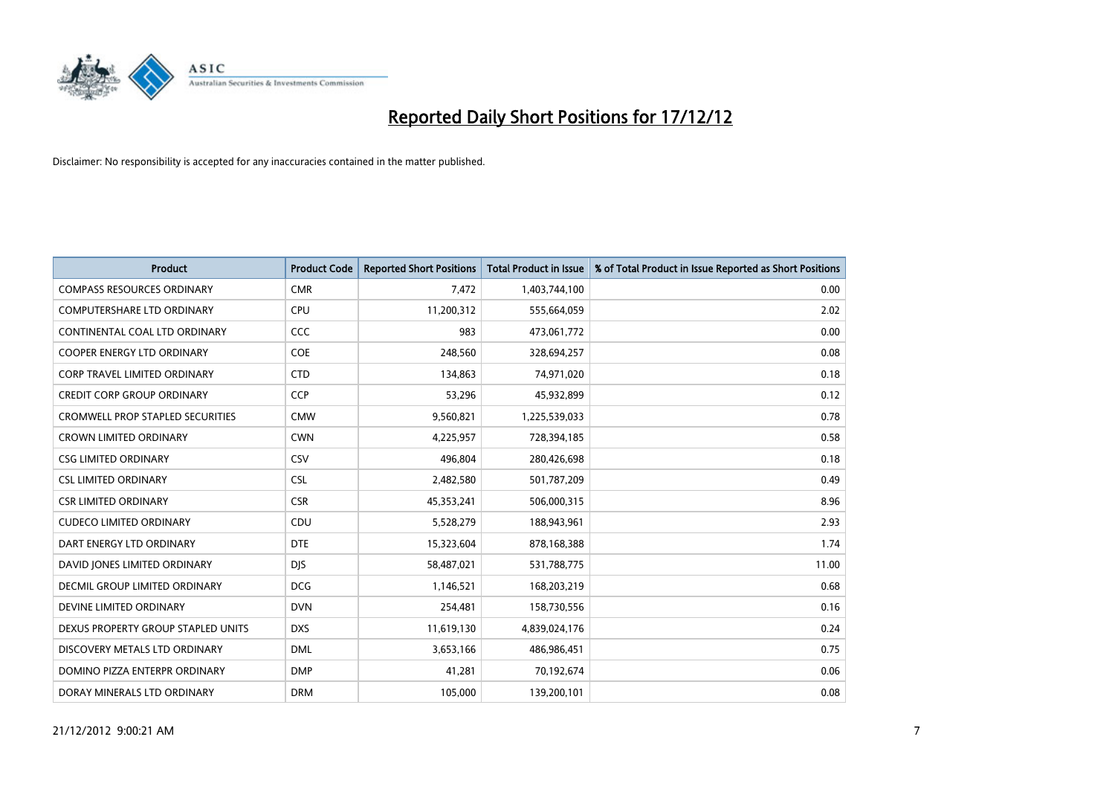

| <b>Product</b>                          | <b>Product Code</b> | <b>Reported Short Positions</b> | Total Product in Issue | % of Total Product in Issue Reported as Short Positions |
|-----------------------------------------|---------------------|---------------------------------|------------------------|---------------------------------------------------------|
| <b>COMPASS RESOURCES ORDINARY</b>       | <b>CMR</b>          | 7,472                           | 1,403,744,100          | 0.00                                                    |
| COMPUTERSHARE LTD ORDINARY              | <b>CPU</b>          | 11,200,312                      | 555,664,059            | 2.02                                                    |
| CONTINENTAL COAL LTD ORDINARY           | <b>CCC</b>          | 983                             | 473,061,772            | 0.00                                                    |
| COOPER ENERGY LTD ORDINARY              | <b>COE</b>          | 248,560                         | 328,694,257            | 0.08                                                    |
| <b>CORP TRAVEL LIMITED ORDINARY</b>     | <b>CTD</b>          | 134,863                         | 74,971,020             | 0.18                                                    |
| <b>CREDIT CORP GROUP ORDINARY</b>       | <b>CCP</b>          | 53,296                          | 45,932,899             | 0.12                                                    |
| <b>CROMWELL PROP STAPLED SECURITIES</b> | <b>CMW</b>          | 9,560,821                       | 1,225,539,033          | 0.78                                                    |
| <b>CROWN LIMITED ORDINARY</b>           | <b>CWN</b>          | 4,225,957                       | 728,394,185            | 0.58                                                    |
| <b>CSG LIMITED ORDINARY</b>             | CSV                 | 496,804                         | 280,426,698            | 0.18                                                    |
| <b>CSL LIMITED ORDINARY</b>             | <b>CSL</b>          | 2,482,580                       | 501,787,209            | 0.49                                                    |
| <b>CSR LIMITED ORDINARY</b>             | <b>CSR</b>          | 45,353,241                      | 506,000,315            | 8.96                                                    |
| <b>CUDECO LIMITED ORDINARY</b>          | CDU                 | 5,528,279                       | 188,943,961            | 2.93                                                    |
| DART ENERGY LTD ORDINARY                | <b>DTE</b>          | 15,323,604                      | 878,168,388            | 1.74                                                    |
| DAVID JONES LIMITED ORDINARY            | <b>DIS</b>          | 58,487,021                      | 531,788,775            | 11.00                                                   |
| DECMIL GROUP LIMITED ORDINARY           | <b>DCG</b>          | 1,146,521                       | 168,203,219            | 0.68                                                    |
| DEVINE LIMITED ORDINARY                 | <b>DVN</b>          | 254,481                         | 158,730,556            | 0.16                                                    |
| DEXUS PROPERTY GROUP STAPLED UNITS      | <b>DXS</b>          | 11,619,130                      | 4,839,024,176          | 0.24                                                    |
| DISCOVERY METALS LTD ORDINARY           | <b>DML</b>          | 3,653,166                       | 486,986,451            | 0.75                                                    |
| DOMINO PIZZA ENTERPR ORDINARY           | <b>DMP</b>          | 41,281                          | 70,192,674             | 0.06                                                    |
| DORAY MINERALS LTD ORDINARY             | <b>DRM</b>          | 105.000                         | 139,200,101            | 0.08                                                    |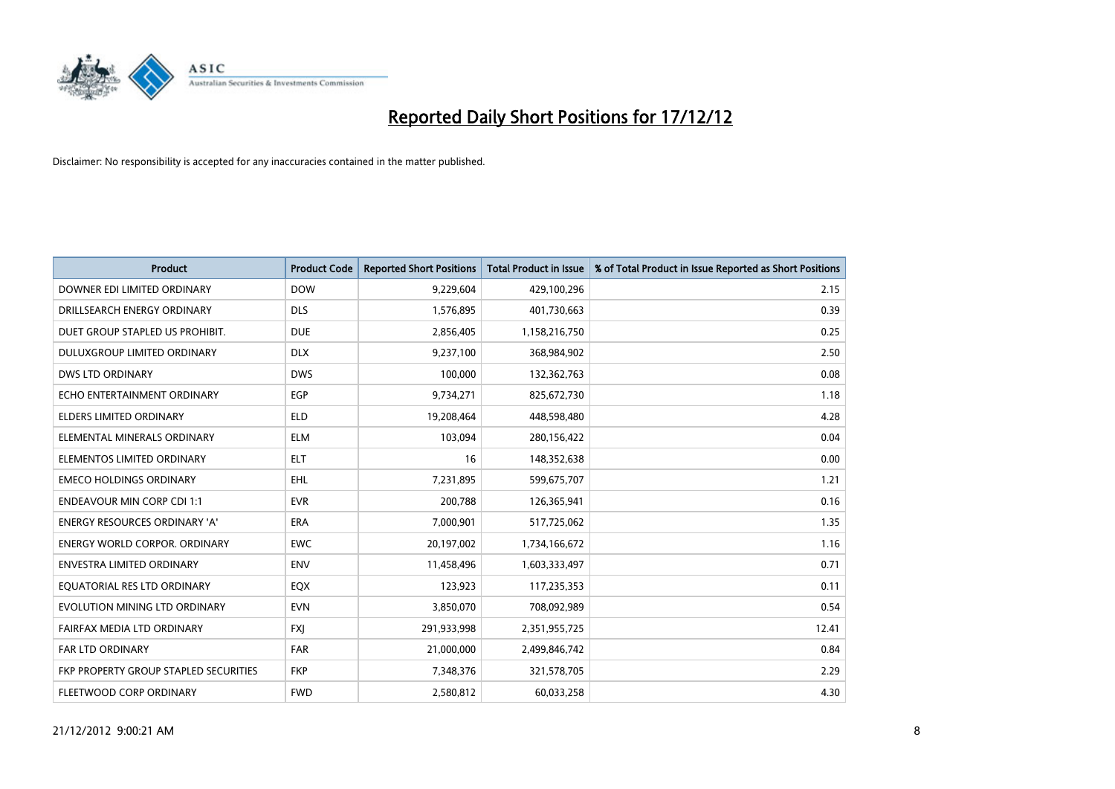

| <b>Product</b>                        | <b>Product Code</b> | <b>Reported Short Positions</b> | <b>Total Product in Issue</b> | % of Total Product in Issue Reported as Short Positions |
|---------------------------------------|---------------------|---------------------------------|-------------------------------|---------------------------------------------------------|
| DOWNER EDI LIMITED ORDINARY           | <b>DOW</b>          | 9,229,604                       | 429,100,296                   | 2.15                                                    |
| DRILLSEARCH ENERGY ORDINARY           | <b>DLS</b>          | 1,576,895                       | 401,730,663                   | 0.39                                                    |
| DUET GROUP STAPLED US PROHIBIT.       | <b>DUE</b>          | 2,856,405                       | 1,158,216,750                 | 0.25                                                    |
| DULUXGROUP LIMITED ORDINARY           | <b>DLX</b>          | 9,237,100                       | 368,984,902                   | 2.50                                                    |
| <b>DWS LTD ORDINARY</b>               | <b>DWS</b>          | 100,000                         | 132,362,763                   | 0.08                                                    |
| ECHO ENTERTAINMENT ORDINARY           | EGP                 | 9,734,271                       | 825,672,730                   | 1.18                                                    |
| ELDERS LIMITED ORDINARY               | <b>ELD</b>          | 19,208,464                      | 448,598,480                   | 4.28                                                    |
| ELEMENTAL MINERALS ORDINARY           | <b>ELM</b>          | 103,094                         | 280,156,422                   | 0.04                                                    |
| ELEMENTOS LIMITED ORDINARY            | <b>ELT</b>          | 16                              | 148,352,638                   | 0.00                                                    |
| <b>EMECO HOLDINGS ORDINARY</b>        | <b>EHL</b>          | 7,231,895                       | 599,675,707                   | 1.21                                                    |
| <b>ENDEAVOUR MIN CORP CDI 1:1</b>     | <b>EVR</b>          | 200,788                         | 126,365,941                   | 0.16                                                    |
| <b>ENERGY RESOURCES ORDINARY 'A'</b>  | <b>ERA</b>          | 7,000,901                       | 517,725,062                   | 1.35                                                    |
| ENERGY WORLD CORPOR. ORDINARY         | <b>EWC</b>          | 20,197,002                      | 1,734,166,672                 | 1.16                                                    |
| <b>ENVESTRA LIMITED ORDINARY</b>      | <b>ENV</b>          | 11,458,496                      | 1,603,333,497                 | 0.71                                                    |
| EQUATORIAL RES LTD ORDINARY           | EQX                 | 123,923                         | 117,235,353                   | 0.11                                                    |
| EVOLUTION MINING LTD ORDINARY         | <b>EVN</b>          | 3,850,070                       | 708,092,989                   | 0.54                                                    |
| FAIRFAX MEDIA LTD ORDINARY            | <b>FXI</b>          | 291,933,998                     | 2,351,955,725                 | 12.41                                                   |
| <b>FAR LTD ORDINARY</b>               | <b>FAR</b>          | 21,000,000                      | 2,499,846,742                 | 0.84                                                    |
| FKP PROPERTY GROUP STAPLED SECURITIES | <b>FKP</b>          | 7,348,376                       | 321,578,705                   | 2.29                                                    |
| FLEETWOOD CORP ORDINARY               | <b>FWD</b>          | 2,580,812                       | 60,033,258                    | 4.30                                                    |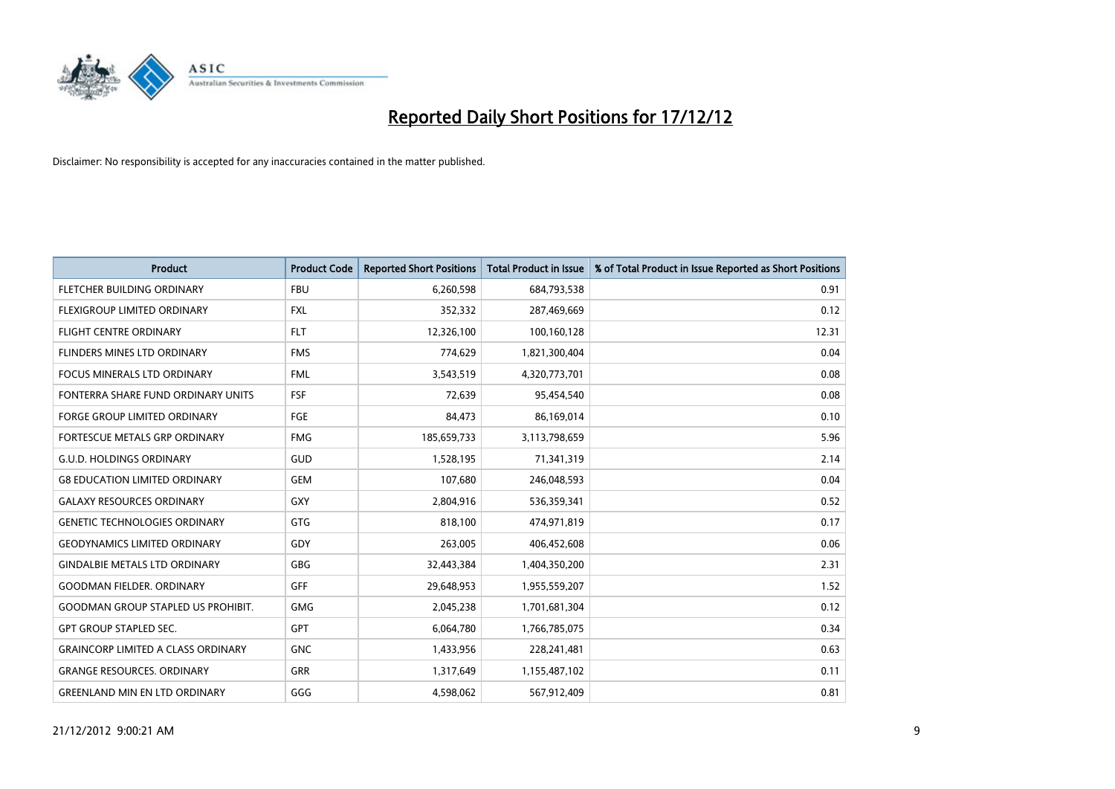

| <b>Product</b>                            | <b>Product Code</b> | <b>Reported Short Positions</b> | <b>Total Product in Issue</b> | % of Total Product in Issue Reported as Short Positions |
|-------------------------------------------|---------------------|---------------------------------|-------------------------------|---------------------------------------------------------|
| FLETCHER BUILDING ORDINARY                | <b>FBU</b>          | 6,260,598                       | 684,793,538                   | 0.91                                                    |
| <b>FLEXIGROUP LIMITED ORDINARY</b>        | <b>FXL</b>          | 352,332                         | 287,469,669                   | 0.12                                                    |
| <b>FLIGHT CENTRE ORDINARY</b>             | <b>FLT</b>          | 12,326,100                      | 100,160,128                   | 12.31                                                   |
| FLINDERS MINES LTD ORDINARY               | <b>FMS</b>          | 774,629                         | 1,821,300,404                 | 0.04                                                    |
| <b>FOCUS MINERALS LTD ORDINARY</b>        | <b>FML</b>          | 3,543,519                       | 4,320,773,701                 | 0.08                                                    |
| FONTERRA SHARE FUND ORDINARY UNITS        | <b>FSF</b>          | 72,639                          | 95,454,540                    | 0.08                                                    |
| <b>FORGE GROUP LIMITED ORDINARY</b>       | FGE                 | 84,473                          | 86,169,014                    | 0.10                                                    |
| FORTESCUE METALS GRP ORDINARY             | <b>FMG</b>          | 185,659,733                     | 3,113,798,659                 | 5.96                                                    |
| <b>G.U.D. HOLDINGS ORDINARY</b>           | <b>GUD</b>          | 1,528,195                       | 71,341,319                    | 2.14                                                    |
| <b>G8 EDUCATION LIMITED ORDINARY</b>      | <b>GEM</b>          | 107,680                         | 246,048,593                   | 0.04                                                    |
| <b>GALAXY RESOURCES ORDINARY</b>          | <b>GXY</b>          | 2,804,916                       | 536,359,341                   | 0.52                                                    |
| <b>GENETIC TECHNOLOGIES ORDINARY</b>      | <b>GTG</b>          | 818,100                         | 474,971,819                   | 0.17                                                    |
| <b>GEODYNAMICS LIMITED ORDINARY</b>       | GDY                 | 263,005                         | 406,452,608                   | 0.06                                                    |
| <b>GINDALBIE METALS LTD ORDINARY</b>      | <b>GBG</b>          | 32,443,384                      | 1,404,350,200                 | 2.31                                                    |
| <b>GOODMAN FIELDER, ORDINARY</b>          | GFF                 | 29,648,953                      | 1,955,559,207                 | 1.52                                                    |
| <b>GOODMAN GROUP STAPLED US PROHIBIT.</b> | <b>GMG</b>          | 2,045,238                       | 1,701,681,304                 | 0.12                                                    |
| <b>GPT GROUP STAPLED SEC.</b>             | <b>GPT</b>          | 6,064,780                       | 1,766,785,075                 | 0.34                                                    |
| <b>GRAINCORP LIMITED A CLASS ORDINARY</b> | <b>GNC</b>          | 1,433,956                       | 228,241,481                   | 0.63                                                    |
| <b>GRANGE RESOURCES, ORDINARY</b>         | <b>GRR</b>          | 1,317,649                       | 1,155,487,102                 | 0.11                                                    |
| <b>GREENLAND MIN EN LTD ORDINARY</b>      | GGG                 | 4,598,062                       | 567,912,409                   | 0.81                                                    |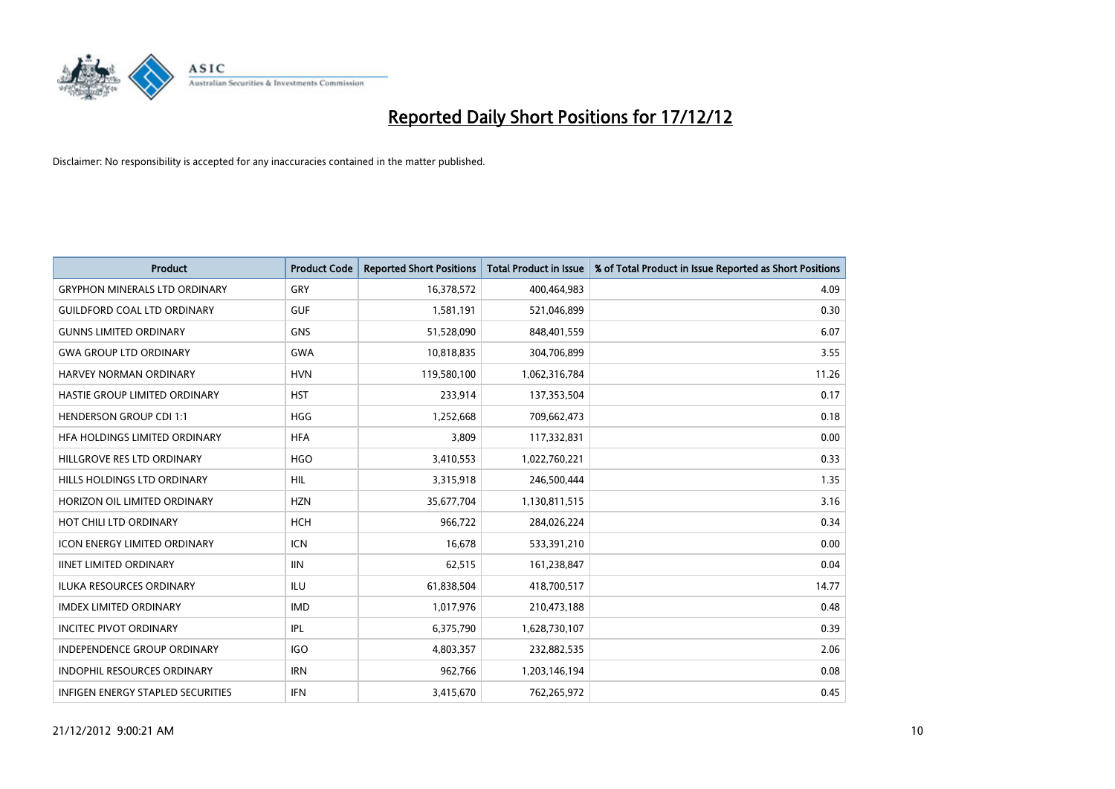

| <b>Product</b>                       | <b>Product Code</b> | <b>Reported Short Positions</b> | <b>Total Product in Issue</b> | % of Total Product in Issue Reported as Short Positions |
|--------------------------------------|---------------------|---------------------------------|-------------------------------|---------------------------------------------------------|
| <b>GRYPHON MINERALS LTD ORDINARY</b> | GRY                 | 16,378,572                      | 400,464,983                   | 4.09                                                    |
| <b>GUILDFORD COAL LTD ORDINARY</b>   | <b>GUF</b>          | 1,581,191                       | 521,046,899                   | 0.30                                                    |
| <b>GUNNS LIMITED ORDINARY</b>        | <b>GNS</b>          | 51,528,090                      | 848,401,559                   | 6.07                                                    |
| <b>GWA GROUP LTD ORDINARY</b>        | <b>GWA</b>          | 10,818,835                      | 304,706,899                   | 3.55                                                    |
| HARVEY NORMAN ORDINARY               | <b>HVN</b>          | 119,580,100                     | 1,062,316,784                 | 11.26                                                   |
| HASTIE GROUP LIMITED ORDINARY        | <b>HST</b>          | 233,914                         | 137,353,504                   | 0.17                                                    |
| <b>HENDERSON GROUP CDI 1:1</b>       | <b>HGG</b>          | 1,252,668                       | 709,662,473                   | 0.18                                                    |
| HFA HOLDINGS LIMITED ORDINARY        | <b>HFA</b>          | 3,809                           | 117,332,831                   | 0.00                                                    |
| HILLGROVE RES LTD ORDINARY           | <b>HGO</b>          | 3,410,553                       | 1,022,760,221                 | 0.33                                                    |
| HILLS HOLDINGS LTD ORDINARY          | <b>HIL</b>          | 3,315,918                       | 246,500,444                   | 1.35                                                    |
| HORIZON OIL LIMITED ORDINARY         | <b>HZN</b>          | 35,677,704                      | 1,130,811,515                 | 3.16                                                    |
| HOT CHILI LTD ORDINARY               | <b>HCH</b>          | 966,722                         | 284,026,224                   | 0.34                                                    |
| ICON ENERGY LIMITED ORDINARY         | <b>ICN</b>          | 16,678                          | 533,391,210                   | 0.00                                                    |
| <b>IINET LIMITED ORDINARY</b>        | <b>IIN</b>          | 62,515                          | 161,238,847                   | 0.04                                                    |
| <b>ILUKA RESOURCES ORDINARY</b>      | <b>ILU</b>          | 61,838,504                      | 418,700,517                   | 14.77                                                   |
| <b>IMDEX LIMITED ORDINARY</b>        | <b>IMD</b>          | 1,017,976                       | 210,473,188                   | 0.48                                                    |
| <b>INCITEC PIVOT ORDINARY</b>        | <b>IPL</b>          | 6,375,790                       | 1,628,730,107                 | 0.39                                                    |
| INDEPENDENCE GROUP ORDINARY          | <b>IGO</b>          | 4,803,357                       | 232,882,535                   | 2.06                                                    |
| <b>INDOPHIL RESOURCES ORDINARY</b>   | <b>IRN</b>          | 962,766                         | 1,203,146,194                 | 0.08                                                    |
| INFIGEN ENERGY STAPLED SECURITIES    | <b>IFN</b>          | 3,415,670                       | 762,265,972                   | 0.45                                                    |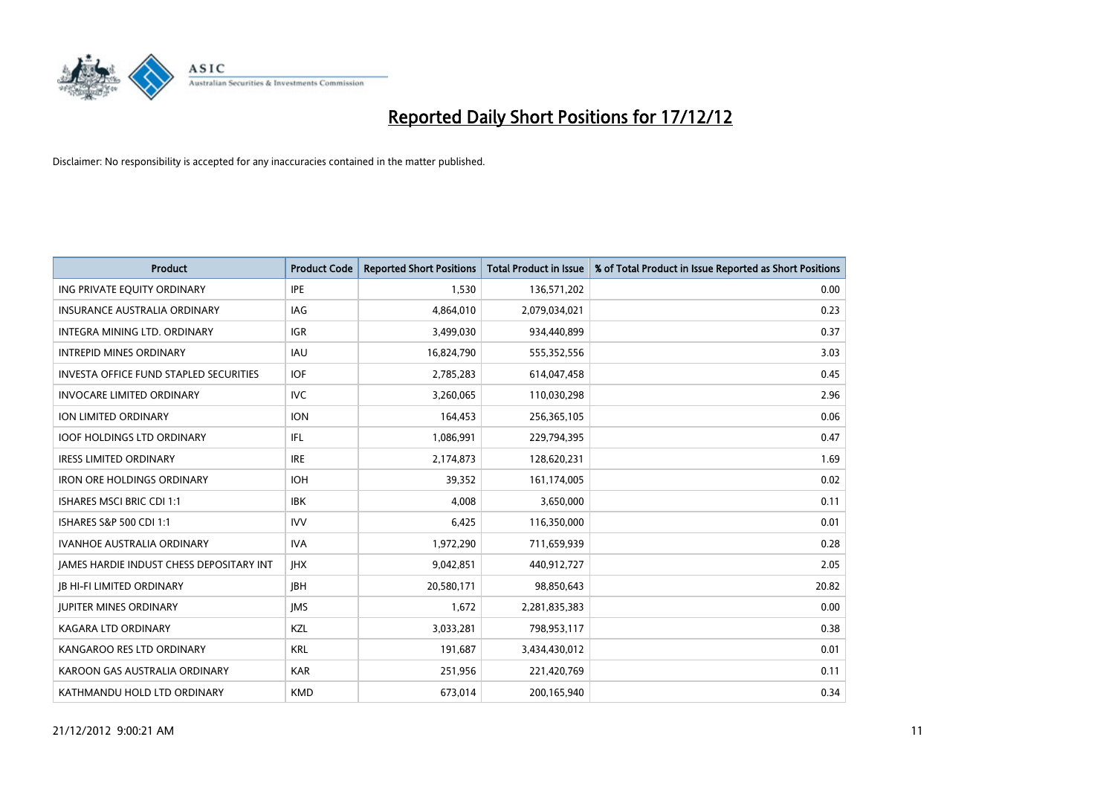

| <b>Product</b>                                  | <b>Product Code</b> | <b>Reported Short Positions</b> | <b>Total Product in Issue</b> | % of Total Product in Issue Reported as Short Positions |
|-------------------------------------------------|---------------------|---------------------------------|-------------------------------|---------------------------------------------------------|
| ING PRIVATE EQUITY ORDINARY                     | <b>IPE</b>          | 1,530                           | 136,571,202                   | 0.00                                                    |
| INSURANCE AUSTRALIA ORDINARY                    | IAG                 | 4,864,010                       | 2,079,034,021                 | 0.23                                                    |
| INTEGRA MINING LTD, ORDINARY                    | <b>IGR</b>          | 3,499,030                       | 934,440,899                   | 0.37                                                    |
| <b>INTREPID MINES ORDINARY</b>                  | <b>IAU</b>          | 16,824,790                      | 555,352,556                   | 3.03                                                    |
| <b>INVESTA OFFICE FUND STAPLED SECURITIES</b>   | <b>IOF</b>          | 2,785,283                       | 614,047,458                   | 0.45                                                    |
| <b>INVOCARE LIMITED ORDINARY</b>                | <b>IVC</b>          | 3,260,065                       | 110,030,298                   | 2.96                                                    |
| <b>ION LIMITED ORDINARY</b>                     | <b>ION</b>          | 164,453                         | 256,365,105                   | 0.06                                                    |
| <b>IOOF HOLDINGS LTD ORDINARY</b>               | <b>IFL</b>          | 1,086,991                       | 229,794,395                   | 0.47                                                    |
| <b>IRESS LIMITED ORDINARY</b>                   | <b>IRE</b>          | 2,174,873                       | 128,620,231                   | 1.69                                                    |
| <b>IRON ORE HOLDINGS ORDINARY</b>               | <b>IOH</b>          | 39,352                          | 161,174,005                   | 0.02                                                    |
| ISHARES MSCI BRIC CDI 1:1                       | <b>IBK</b>          | 4,008                           | 3,650,000                     | 0.11                                                    |
| ISHARES S&P 500 CDI 1:1                         | <b>IVV</b>          | 6,425                           | 116,350,000                   | 0.01                                                    |
| <b>IVANHOE AUSTRALIA ORDINARY</b>               | <b>IVA</b>          | 1,972,290                       | 711,659,939                   | 0.28                                                    |
| <b>JAMES HARDIE INDUST CHESS DEPOSITARY INT</b> | <b>IHX</b>          | 9,042,851                       | 440,912,727                   | 2.05                                                    |
| <b>JB HI-FI LIMITED ORDINARY</b>                | <b>IBH</b>          | 20,580,171                      | 98,850,643                    | 20.82                                                   |
| <b>JUPITER MINES ORDINARY</b>                   | <b>IMS</b>          | 1,672                           | 2,281,835,383                 | 0.00                                                    |
| KAGARA LTD ORDINARY                             | KZL                 | 3,033,281                       | 798,953,117                   | 0.38                                                    |
| KANGAROO RES LTD ORDINARY                       | <b>KRL</b>          | 191,687                         | 3,434,430,012                 | 0.01                                                    |
| KAROON GAS AUSTRALIA ORDINARY                   | <b>KAR</b>          | 251,956                         | 221,420,769                   | 0.11                                                    |
| KATHMANDU HOLD LTD ORDINARY                     | <b>KMD</b>          | 673,014                         | 200,165,940                   | 0.34                                                    |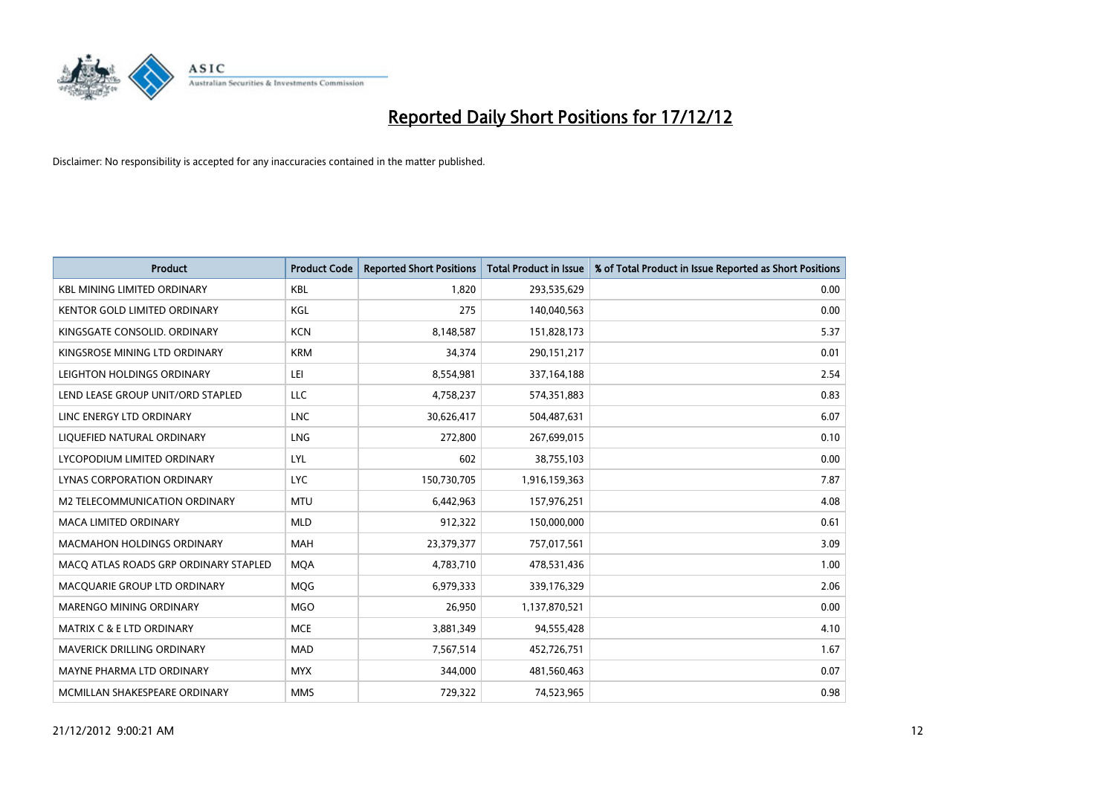

| <b>Product</b>                        | <b>Product Code</b> | <b>Reported Short Positions</b> | <b>Total Product in Issue</b> | % of Total Product in Issue Reported as Short Positions |
|---------------------------------------|---------------------|---------------------------------|-------------------------------|---------------------------------------------------------|
| <b>KBL MINING LIMITED ORDINARY</b>    | <b>KBL</b>          | 1.820                           | 293,535,629                   | 0.00                                                    |
| KENTOR GOLD LIMITED ORDINARY          | KGL                 | 275                             | 140,040,563                   | 0.00                                                    |
| KINGSGATE CONSOLID. ORDINARY          | <b>KCN</b>          | 8,148,587                       | 151,828,173                   | 5.37                                                    |
| KINGSROSE MINING LTD ORDINARY         | <b>KRM</b>          | 34,374                          | 290,151,217                   | 0.01                                                    |
| LEIGHTON HOLDINGS ORDINARY            | LEI                 | 8,554,981                       | 337,164,188                   | 2.54                                                    |
| LEND LEASE GROUP UNIT/ORD STAPLED     | <b>LLC</b>          | 4,758,237                       | 574,351,883                   | 0.83                                                    |
| LINC ENERGY LTD ORDINARY              | <b>LNC</b>          | 30,626,417                      | 504,487,631                   | 6.07                                                    |
| LIQUEFIED NATURAL ORDINARY            | LNG                 | 272,800                         | 267,699,015                   | 0.10                                                    |
| LYCOPODIUM LIMITED ORDINARY           | LYL                 | 602                             | 38,755,103                    | 0.00                                                    |
| LYNAS CORPORATION ORDINARY            | <b>LYC</b>          | 150,730,705                     | 1,916,159,363                 | 7.87                                                    |
| M2 TELECOMMUNICATION ORDINARY         | <b>MTU</b>          | 6,442,963                       | 157,976,251                   | 4.08                                                    |
| <b>MACA LIMITED ORDINARY</b>          | <b>MLD</b>          | 912,322                         | 150,000,000                   | 0.61                                                    |
| MACMAHON HOLDINGS ORDINARY            | MAH                 | 23,379,377                      | 757,017,561                   | 3.09                                                    |
| MACQ ATLAS ROADS GRP ORDINARY STAPLED | <b>MOA</b>          | 4,783,710                       | 478,531,436                   | 1.00                                                    |
| MACQUARIE GROUP LTD ORDINARY          | <b>MOG</b>          | 6,979,333                       | 339,176,329                   | 2.06                                                    |
| MARENGO MINING ORDINARY               | <b>MGO</b>          | 26,950                          | 1,137,870,521                 | 0.00                                                    |
| MATRIX C & E LTD ORDINARY             | <b>MCE</b>          | 3,881,349                       | 94,555,428                    | 4.10                                                    |
| MAVERICK DRILLING ORDINARY            | <b>MAD</b>          | 7,567,514                       | 452,726,751                   | 1.67                                                    |
| MAYNE PHARMA LTD ORDINARY             | <b>MYX</b>          | 344,000                         | 481,560,463                   | 0.07                                                    |
| MCMILLAN SHAKESPEARE ORDINARY         | <b>MMS</b>          | 729,322                         | 74,523,965                    | 0.98                                                    |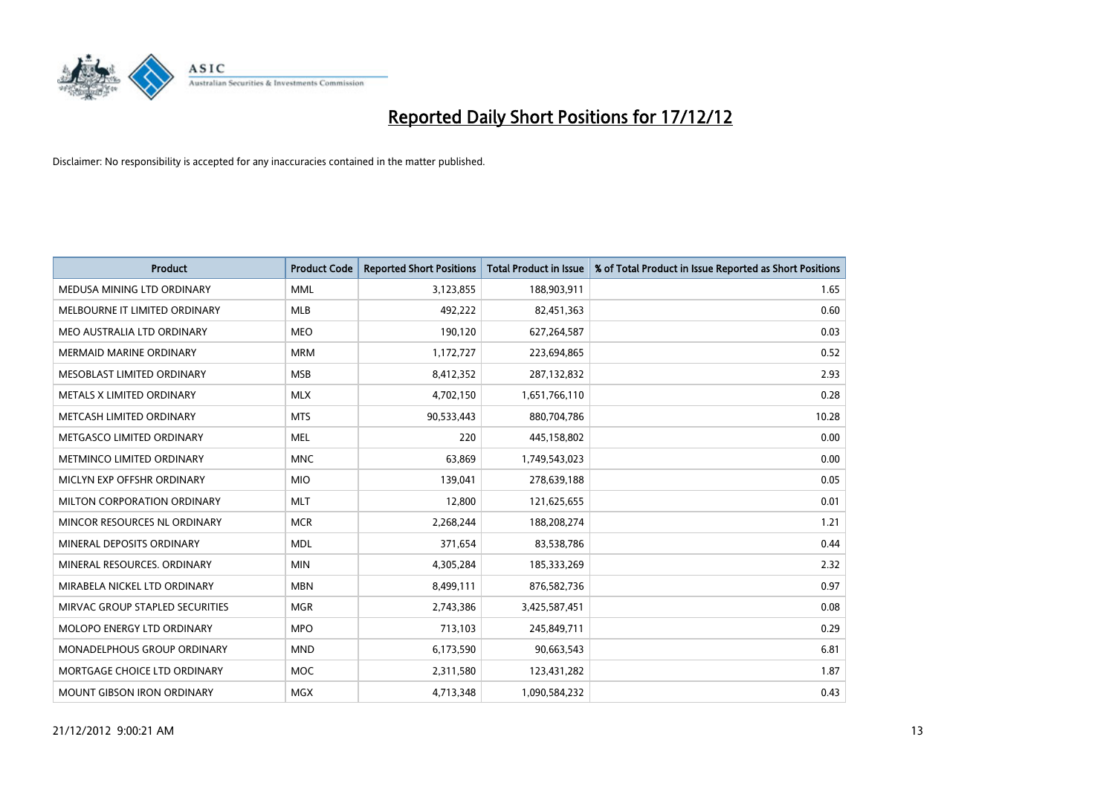

| <b>Product</b>                  | <b>Product Code</b> | <b>Reported Short Positions</b> | <b>Total Product in Issue</b> | % of Total Product in Issue Reported as Short Positions |
|---------------------------------|---------------------|---------------------------------|-------------------------------|---------------------------------------------------------|
| MEDUSA MINING LTD ORDINARY      | <b>MML</b>          | 3,123,855                       | 188,903,911                   | 1.65                                                    |
| MELBOURNE IT LIMITED ORDINARY   | <b>MLB</b>          | 492,222                         | 82,451,363                    | 0.60                                                    |
| MEO AUSTRALIA LTD ORDINARY      | <b>MEO</b>          | 190,120                         | 627,264,587                   | 0.03                                                    |
| MERMAID MARINE ORDINARY         | <b>MRM</b>          | 1,172,727                       | 223,694,865                   | 0.52                                                    |
| MESOBLAST LIMITED ORDINARY      | <b>MSB</b>          | 8,412,352                       | 287,132,832                   | 2.93                                                    |
| METALS X LIMITED ORDINARY       | <b>MLX</b>          | 4,702,150                       | 1,651,766,110                 | 0.28                                                    |
| METCASH LIMITED ORDINARY        | <b>MTS</b>          | 90,533,443                      | 880,704,786                   | 10.28                                                   |
| METGASCO LIMITED ORDINARY       | <b>MEL</b>          | 220                             | 445,158,802                   | 0.00                                                    |
| METMINCO LIMITED ORDINARY       | <b>MNC</b>          | 63,869                          | 1,749,543,023                 | 0.00                                                    |
| MICLYN EXP OFFSHR ORDINARY      | <b>MIO</b>          | 139,041                         | 278,639,188                   | 0.05                                                    |
| MILTON CORPORATION ORDINARY     | <b>MLT</b>          | 12,800                          | 121,625,655                   | 0.01                                                    |
| MINCOR RESOURCES NL ORDINARY    | <b>MCR</b>          | 2,268,244                       | 188,208,274                   | 1.21                                                    |
| MINERAL DEPOSITS ORDINARY       | <b>MDL</b>          | 371,654                         | 83,538,786                    | 0.44                                                    |
| MINERAL RESOURCES, ORDINARY     | <b>MIN</b>          | 4,305,284                       | 185,333,269                   | 2.32                                                    |
| MIRABELA NICKEL LTD ORDINARY    | <b>MBN</b>          | 8,499,111                       | 876,582,736                   | 0.97                                                    |
| MIRVAC GROUP STAPLED SECURITIES | <b>MGR</b>          | 2,743,386                       | 3,425,587,451                 | 0.08                                                    |
| MOLOPO ENERGY LTD ORDINARY      | <b>MPO</b>          | 713,103                         | 245,849,711                   | 0.29                                                    |
| MONADELPHOUS GROUP ORDINARY     | <b>MND</b>          | 6,173,590                       | 90,663,543                    | 6.81                                                    |
| MORTGAGE CHOICE LTD ORDINARY    | MOC                 | 2,311,580                       | 123,431,282                   | 1.87                                                    |
| MOUNT GIBSON IRON ORDINARY      | <b>MGX</b>          | 4,713,348                       | 1,090,584,232                 | 0.43                                                    |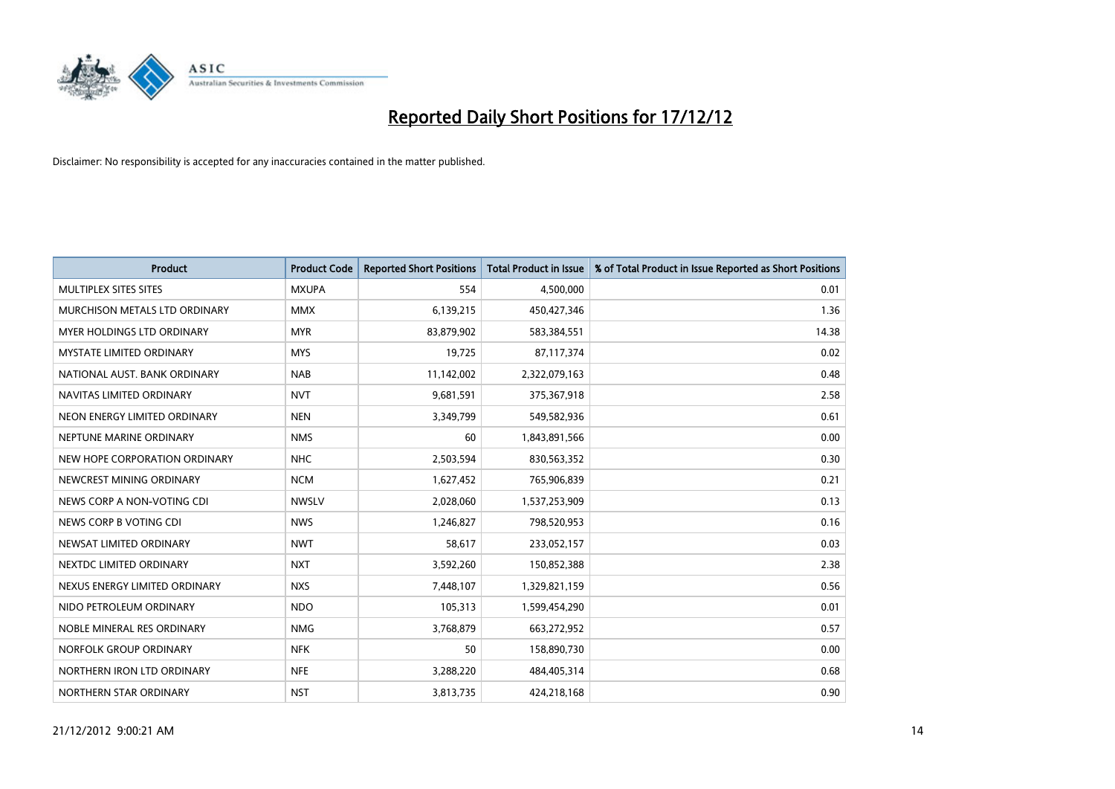

| <b>Product</b>                | <b>Product Code</b> | <b>Reported Short Positions</b> | <b>Total Product in Issue</b> | % of Total Product in Issue Reported as Short Positions |
|-------------------------------|---------------------|---------------------------------|-------------------------------|---------------------------------------------------------|
| <b>MULTIPLEX SITES SITES</b>  | <b>MXUPA</b>        | 554                             | 4,500,000                     | 0.01                                                    |
| MURCHISON METALS LTD ORDINARY | <b>MMX</b>          | 6,139,215                       | 450,427,346                   | 1.36                                                    |
| MYER HOLDINGS LTD ORDINARY    | <b>MYR</b>          | 83,879,902                      | 583,384,551                   | 14.38                                                   |
| MYSTATE LIMITED ORDINARY      | <b>MYS</b>          | 19,725                          | 87,117,374                    | 0.02                                                    |
| NATIONAL AUST, BANK ORDINARY  | <b>NAB</b>          | 11,142,002                      | 2,322,079,163                 | 0.48                                                    |
| NAVITAS LIMITED ORDINARY      | <b>NVT</b>          | 9,681,591                       | 375,367,918                   | 2.58                                                    |
| NEON ENERGY LIMITED ORDINARY  | <b>NEN</b>          | 3,349,799                       | 549,582,936                   | 0.61                                                    |
| NEPTUNE MARINE ORDINARY       | <b>NMS</b>          | 60                              | 1,843,891,566                 | 0.00                                                    |
| NEW HOPE CORPORATION ORDINARY | <b>NHC</b>          | 2,503,594                       | 830,563,352                   | 0.30                                                    |
| NEWCREST MINING ORDINARY      | <b>NCM</b>          | 1,627,452                       | 765,906,839                   | 0.21                                                    |
| NEWS CORP A NON-VOTING CDI    | <b>NWSLV</b>        | 2,028,060                       | 1,537,253,909                 | 0.13                                                    |
| NEWS CORP B VOTING CDI        | <b>NWS</b>          | 1,246,827                       | 798,520,953                   | 0.16                                                    |
| NEWSAT LIMITED ORDINARY       | <b>NWT</b>          | 58,617                          | 233,052,157                   | 0.03                                                    |
| NEXTDC LIMITED ORDINARY       | <b>NXT</b>          | 3,592,260                       | 150,852,388                   | 2.38                                                    |
| NEXUS ENERGY LIMITED ORDINARY | <b>NXS</b>          | 7,448,107                       | 1,329,821,159                 | 0.56                                                    |
| NIDO PETROLEUM ORDINARY       | <b>NDO</b>          | 105,313                         | 1,599,454,290                 | 0.01                                                    |
| NOBLE MINERAL RES ORDINARY    | <b>NMG</b>          | 3,768,879                       | 663,272,952                   | 0.57                                                    |
| NORFOLK GROUP ORDINARY        | <b>NFK</b>          | 50                              | 158,890,730                   | 0.00                                                    |
| NORTHERN IRON LTD ORDINARY    | <b>NFE</b>          | 3,288,220                       | 484,405,314                   | 0.68                                                    |
| NORTHERN STAR ORDINARY        | <b>NST</b>          | 3,813,735                       | 424,218,168                   | 0.90                                                    |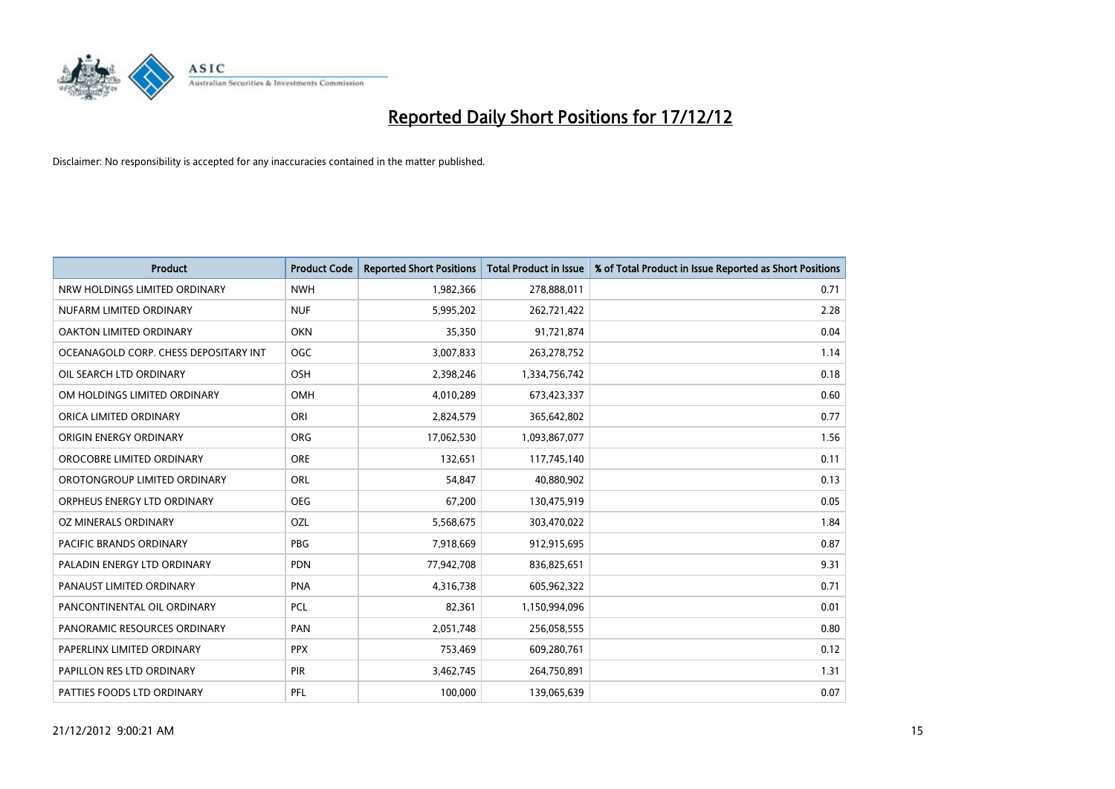

| <b>Product</b>                        | <b>Product Code</b> | <b>Reported Short Positions</b> | <b>Total Product in Issue</b> | % of Total Product in Issue Reported as Short Positions |
|---------------------------------------|---------------------|---------------------------------|-------------------------------|---------------------------------------------------------|
| NRW HOLDINGS LIMITED ORDINARY         | <b>NWH</b>          | 1,982,366                       | 278,888,011                   | 0.71                                                    |
| NUFARM LIMITED ORDINARY               | <b>NUF</b>          | 5,995,202                       | 262,721,422                   | 2.28                                                    |
| OAKTON LIMITED ORDINARY               | <b>OKN</b>          | 35,350                          | 91,721,874                    | 0.04                                                    |
| OCEANAGOLD CORP. CHESS DEPOSITARY INT | <b>OGC</b>          | 3,007,833                       | 263,278,752                   | 1.14                                                    |
| OIL SEARCH LTD ORDINARY               | <b>OSH</b>          | 2,398,246                       | 1,334,756,742                 | 0.18                                                    |
| OM HOLDINGS LIMITED ORDINARY          | OMH                 | 4,010,289                       | 673,423,337                   | 0.60                                                    |
| ORICA LIMITED ORDINARY                | ORI                 | 2,824,579                       | 365,642,802                   | 0.77                                                    |
| ORIGIN ENERGY ORDINARY                | <b>ORG</b>          | 17,062,530                      | 1,093,867,077                 | 1.56                                                    |
| OROCOBRE LIMITED ORDINARY             | <b>ORE</b>          | 132,651                         | 117,745,140                   | 0.11                                                    |
| OROTONGROUP LIMITED ORDINARY          | <b>ORL</b>          | 54,847                          | 40,880,902                    | 0.13                                                    |
| ORPHEUS ENERGY LTD ORDINARY           | <b>OEG</b>          | 67,200                          | 130,475,919                   | 0.05                                                    |
| OZ MINERALS ORDINARY                  | OZL                 | 5,568,675                       | 303,470,022                   | 1.84                                                    |
| PACIFIC BRANDS ORDINARY               | PBG                 | 7,918,669                       | 912,915,695                   | 0.87                                                    |
| PALADIN ENERGY LTD ORDINARY           | <b>PDN</b>          | 77,942,708                      | 836,825,651                   | 9.31                                                    |
| PANAUST LIMITED ORDINARY              | <b>PNA</b>          | 4,316,738                       | 605,962,322                   | 0.71                                                    |
| PANCONTINENTAL OIL ORDINARY           | <b>PCL</b>          | 82,361                          | 1,150,994,096                 | 0.01                                                    |
| PANORAMIC RESOURCES ORDINARY          | PAN                 | 2,051,748                       | 256,058,555                   | 0.80                                                    |
| PAPERLINX LIMITED ORDINARY            | <b>PPX</b>          | 753,469                         | 609,280,761                   | 0.12                                                    |
| PAPILLON RES LTD ORDINARY             | <b>PIR</b>          | 3,462,745                       | 264,750,891                   | 1.31                                                    |
| PATTIES FOODS LTD ORDINARY            | PFL                 | 100.000                         | 139,065,639                   | 0.07                                                    |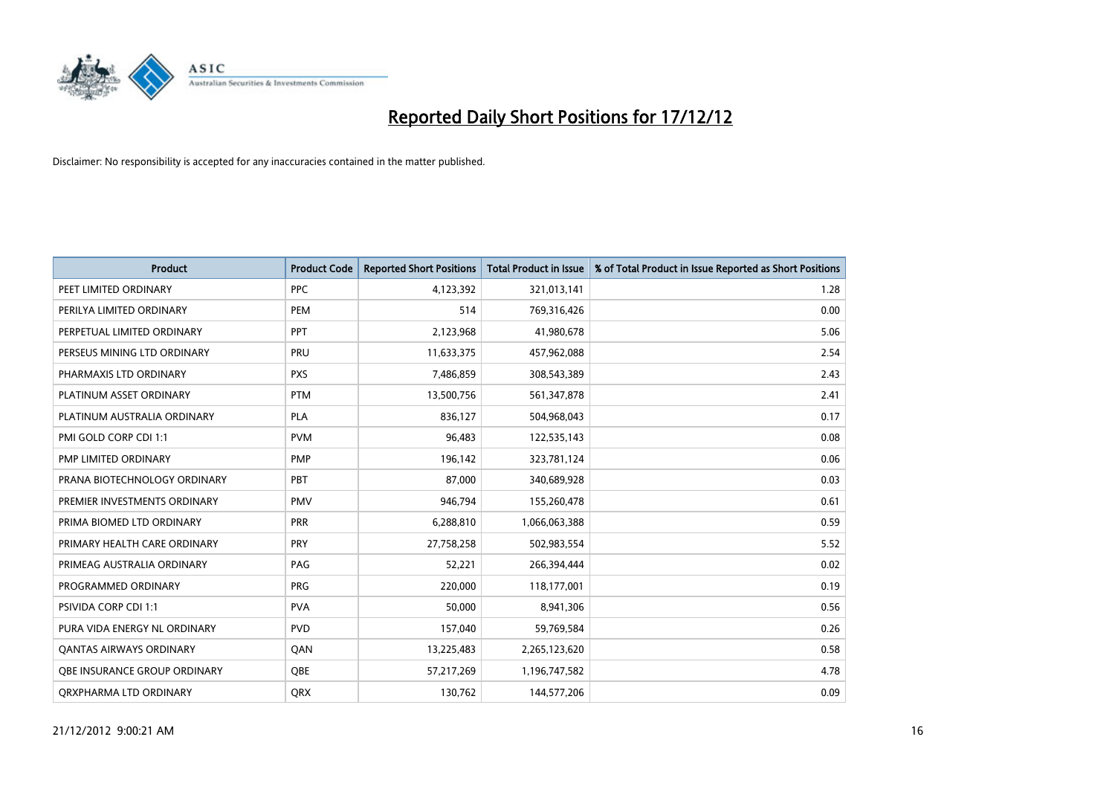

| <b>Product</b>                 | <b>Product Code</b> | <b>Reported Short Positions</b> | Total Product in Issue | % of Total Product in Issue Reported as Short Positions |
|--------------------------------|---------------------|---------------------------------|------------------------|---------------------------------------------------------|
| PEET LIMITED ORDINARY          | <b>PPC</b>          | 4,123,392                       | 321,013,141            | 1.28                                                    |
| PERILYA LIMITED ORDINARY       | PEM                 | 514                             | 769,316,426            | 0.00                                                    |
| PERPETUAL LIMITED ORDINARY     | <b>PPT</b>          | 2,123,968                       | 41,980,678             | 5.06                                                    |
| PERSEUS MINING LTD ORDINARY    | PRU                 | 11,633,375                      | 457,962,088            | 2.54                                                    |
| PHARMAXIS LTD ORDINARY         | <b>PXS</b>          | 7,486,859                       | 308,543,389            | 2.43                                                    |
| PLATINUM ASSET ORDINARY        | <b>PTM</b>          | 13,500,756                      | 561,347,878            | 2.41                                                    |
| PLATINUM AUSTRALIA ORDINARY    | <b>PLA</b>          | 836,127                         | 504,968,043            | 0.17                                                    |
| PMI GOLD CORP CDI 1:1          | <b>PVM</b>          | 96,483                          | 122,535,143            | 0.08                                                    |
| PMP LIMITED ORDINARY           | <b>PMP</b>          | 196,142                         | 323,781,124            | 0.06                                                    |
| PRANA BIOTECHNOLOGY ORDINARY   | PBT                 | 87,000                          | 340,689,928            | 0.03                                                    |
| PREMIER INVESTMENTS ORDINARY   | <b>PMV</b>          | 946,794                         | 155,260,478            | 0.61                                                    |
| PRIMA BIOMED LTD ORDINARY      | <b>PRR</b>          | 6,288,810                       | 1,066,063,388          | 0.59                                                    |
| PRIMARY HEALTH CARE ORDINARY   | PRY                 | 27,758,258                      | 502,983,554            | 5.52                                                    |
| PRIMEAG AUSTRALIA ORDINARY     | PAG                 | 52,221                          | 266,394,444            | 0.02                                                    |
| PROGRAMMED ORDINARY            | <b>PRG</b>          | 220,000                         | 118,177,001            | 0.19                                                    |
| <b>PSIVIDA CORP CDI 1:1</b>    | <b>PVA</b>          | 50,000                          | 8,941,306              | 0.56                                                    |
| PURA VIDA ENERGY NL ORDINARY   | <b>PVD</b>          | 157,040                         | 59,769,584             | 0.26                                                    |
| <b>QANTAS AIRWAYS ORDINARY</b> | QAN                 | 13,225,483                      | 2,265,123,620          | 0.58                                                    |
| OBE INSURANCE GROUP ORDINARY   | <b>OBE</b>          | 57,217,269                      | 1,196,747,582          | 4.78                                                    |
| ORXPHARMA LTD ORDINARY         | <b>ORX</b>          | 130,762                         | 144,577,206            | 0.09                                                    |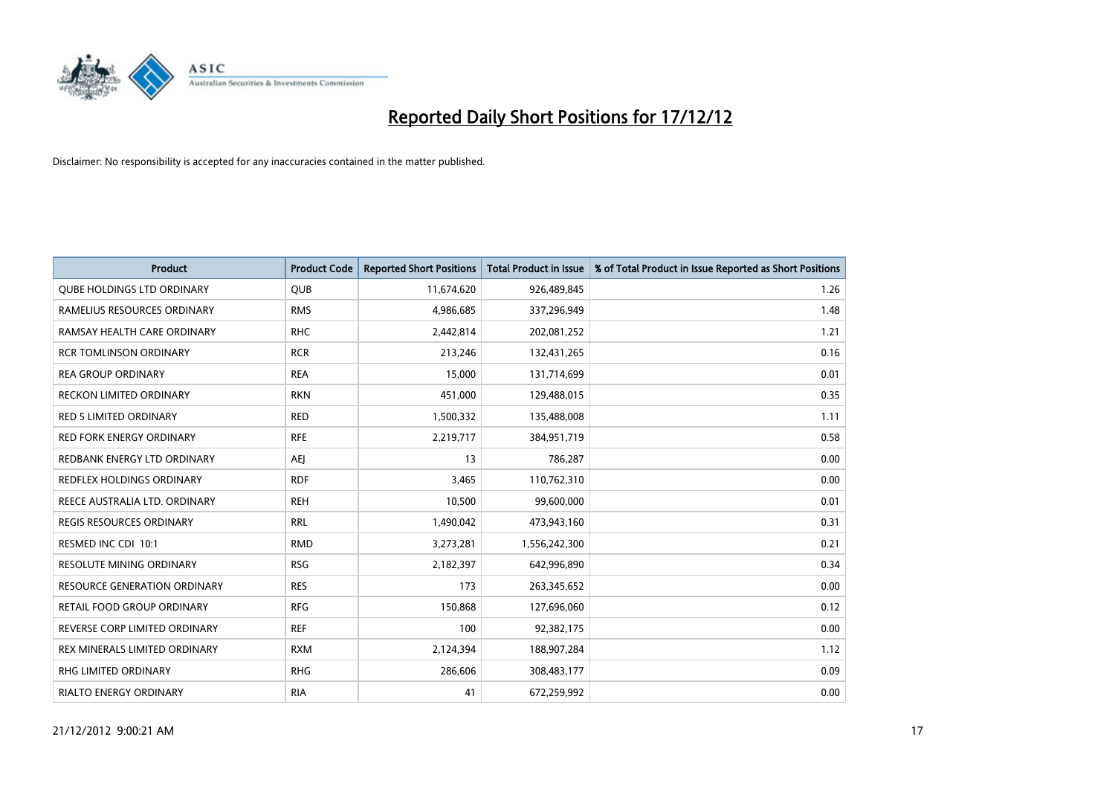

| <b>Product</b>                      | <b>Product Code</b> | <b>Reported Short Positions</b> | <b>Total Product in Issue</b> | % of Total Product in Issue Reported as Short Positions |
|-------------------------------------|---------------------|---------------------------------|-------------------------------|---------------------------------------------------------|
| <b>QUBE HOLDINGS LTD ORDINARY</b>   | <b>QUB</b>          | 11,674,620                      | 926,489,845                   | 1.26                                                    |
| RAMELIUS RESOURCES ORDINARY         | <b>RMS</b>          | 4,986,685                       | 337,296,949                   | 1.48                                                    |
| RAMSAY HEALTH CARE ORDINARY         | <b>RHC</b>          | 2,442,814                       | 202,081,252                   | 1.21                                                    |
| <b>RCR TOMLINSON ORDINARY</b>       | <b>RCR</b>          | 213,246                         | 132,431,265                   | 0.16                                                    |
| <b>REA GROUP ORDINARY</b>           | <b>REA</b>          | 15,000                          | 131,714,699                   | 0.01                                                    |
| <b>RECKON LIMITED ORDINARY</b>      | <b>RKN</b>          | 451,000                         | 129,488,015                   | 0.35                                                    |
| <b>RED 5 LIMITED ORDINARY</b>       | <b>RED</b>          | 1,500,332                       | 135,488,008                   | 1.11                                                    |
| RED FORK ENERGY ORDINARY            | <b>RFE</b>          | 2,219,717                       | 384,951,719                   | 0.58                                                    |
| REDBANK ENERGY LTD ORDINARY         | AEJ                 | 13                              | 786,287                       | 0.00                                                    |
| <b>REDFLEX HOLDINGS ORDINARY</b>    | <b>RDF</b>          | 3,465                           | 110,762,310                   | 0.00                                                    |
| REECE AUSTRALIA LTD. ORDINARY       | <b>REH</b>          | 10,500                          | 99,600,000                    | 0.01                                                    |
| <b>REGIS RESOURCES ORDINARY</b>     | <b>RRL</b>          | 1,490,042                       | 473,943,160                   | 0.31                                                    |
| RESMED INC CDI 10:1                 | <b>RMD</b>          | 3,273,281                       | 1,556,242,300                 | 0.21                                                    |
| RESOLUTE MINING ORDINARY            | <b>RSG</b>          | 2,182,397                       | 642,996,890                   | 0.34                                                    |
| <b>RESOURCE GENERATION ORDINARY</b> | <b>RES</b>          | 173                             | 263,345,652                   | 0.00                                                    |
| RETAIL FOOD GROUP ORDINARY          | <b>RFG</b>          | 150,868                         | 127,696,060                   | 0.12                                                    |
| REVERSE CORP LIMITED ORDINARY       | <b>REF</b>          | 100                             | 92,382,175                    | 0.00                                                    |
| REX MINERALS LIMITED ORDINARY       | <b>RXM</b>          | 2,124,394                       | 188,907,284                   | 1.12                                                    |
| RHG LIMITED ORDINARY                | <b>RHG</b>          | 286,606                         | 308,483,177                   | 0.09                                                    |
| RIALTO ENERGY ORDINARY              | <b>RIA</b>          | 41                              | 672,259,992                   | 0.00                                                    |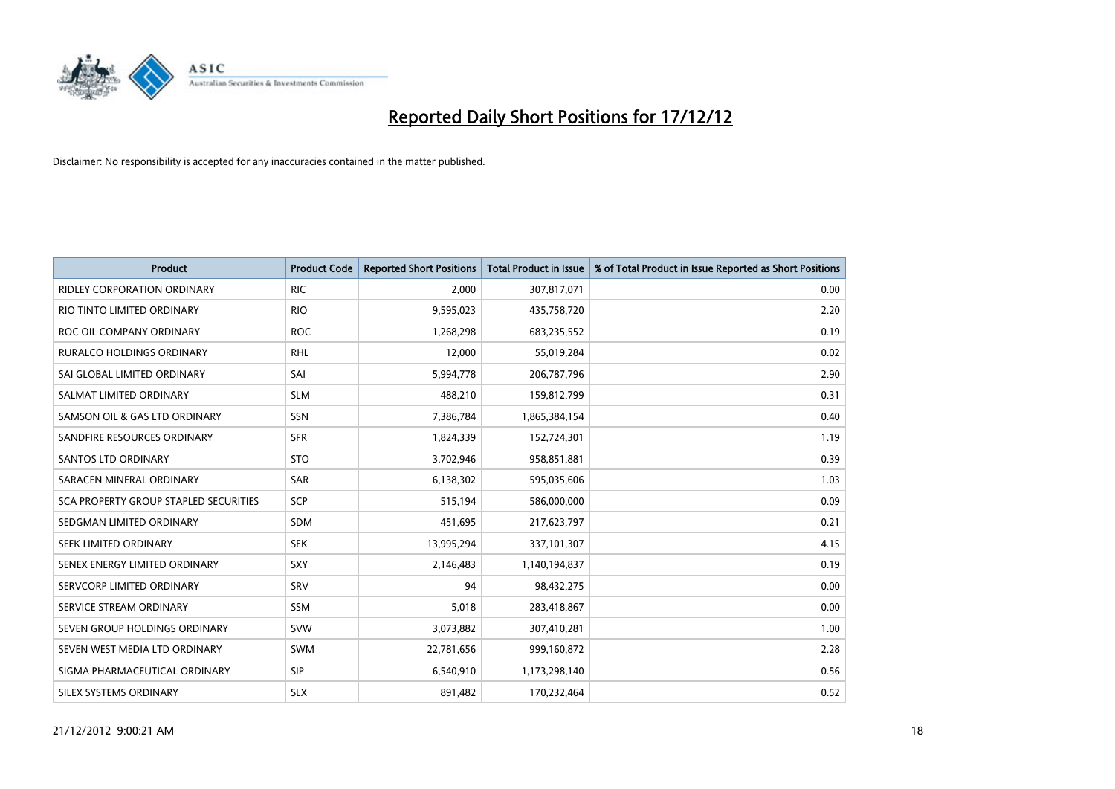

| <b>Product</b>                        | <b>Product Code</b> | <b>Reported Short Positions</b> | <b>Total Product in Issue</b> | % of Total Product in Issue Reported as Short Positions |
|---------------------------------------|---------------------|---------------------------------|-------------------------------|---------------------------------------------------------|
| <b>RIDLEY CORPORATION ORDINARY</b>    | <b>RIC</b>          | 2,000                           | 307,817,071                   | 0.00                                                    |
| RIO TINTO LIMITED ORDINARY            | <b>RIO</b>          | 9,595,023                       | 435,758,720                   | 2.20                                                    |
| ROC OIL COMPANY ORDINARY              | <b>ROC</b>          | 1,268,298                       | 683,235,552                   | 0.19                                                    |
| RURALCO HOLDINGS ORDINARY             | <b>RHL</b>          | 12,000                          | 55,019,284                    | 0.02                                                    |
| SAI GLOBAL LIMITED ORDINARY           | SAI                 | 5,994,778                       | 206,787,796                   | 2.90                                                    |
| SALMAT LIMITED ORDINARY               | <b>SLM</b>          | 488,210                         | 159,812,799                   | 0.31                                                    |
| SAMSON OIL & GAS LTD ORDINARY         | <b>SSN</b>          | 7,386,784                       | 1,865,384,154                 | 0.40                                                    |
| SANDFIRE RESOURCES ORDINARY           | <b>SFR</b>          | 1,824,339                       | 152,724,301                   | 1.19                                                    |
| SANTOS LTD ORDINARY                   | <b>STO</b>          | 3,702,946                       | 958,851,881                   | 0.39                                                    |
| SARACEN MINERAL ORDINARY              | <b>SAR</b>          | 6,138,302                       | 595,035,606                   | 1.03                                                    |
| SCA PROPERTY GROUP STAPLED SECURITIES | SCP                 | 515,194                         | 586,000,000                   | 0.09                                                    |
| SEDGMAN LIMITED ORDINARY              | <b>SDM</b>          | 451,695                         | 217,623,797                   | 0.21                                                    |
| SEEK LIMITED ORDINARY                 | <b>SEK</b>          | 13,995,294                      | 337,101,307                   | 4.15                                                    |
| SENEX ENERGY LIMITED ORDINARY         | <b>SXY</b>          | 2,146,483                       | 1,140,194,837                 | 0.19                                                    |
| SERVCORP LIMITED ORDINARY             | SRV                 | 94                              | 98,432,275                    | 0.00                                                    |
| SERVICE STREAM ORDINARY               | SSM                 | 5,018                           | 283,418,867                   | 0.00                                                    |
| SEVEN GROUP HOLDINGS ORDINARY         | <b>SVW</b>          | 3,073,882                       | 307,410,281                   | 1.00                                                    |
| SEVEN WEST MEDIA LTD ORDINARY         | <b>SWM</b>          | 22,781,656                      | 999,160,872                   | 2.28                                                    |
| SIGMA PHARMACEUTICAL ORDINARY         | <b>SIP</b>          | 6,540,910                       | 1,173,298,140                 | 0.56                                                    |
| SILEX SYSTEMS ORDINARY                | <b>SLX</b>          | 891,482                         | 170,232,464                   | 0.52                                                    |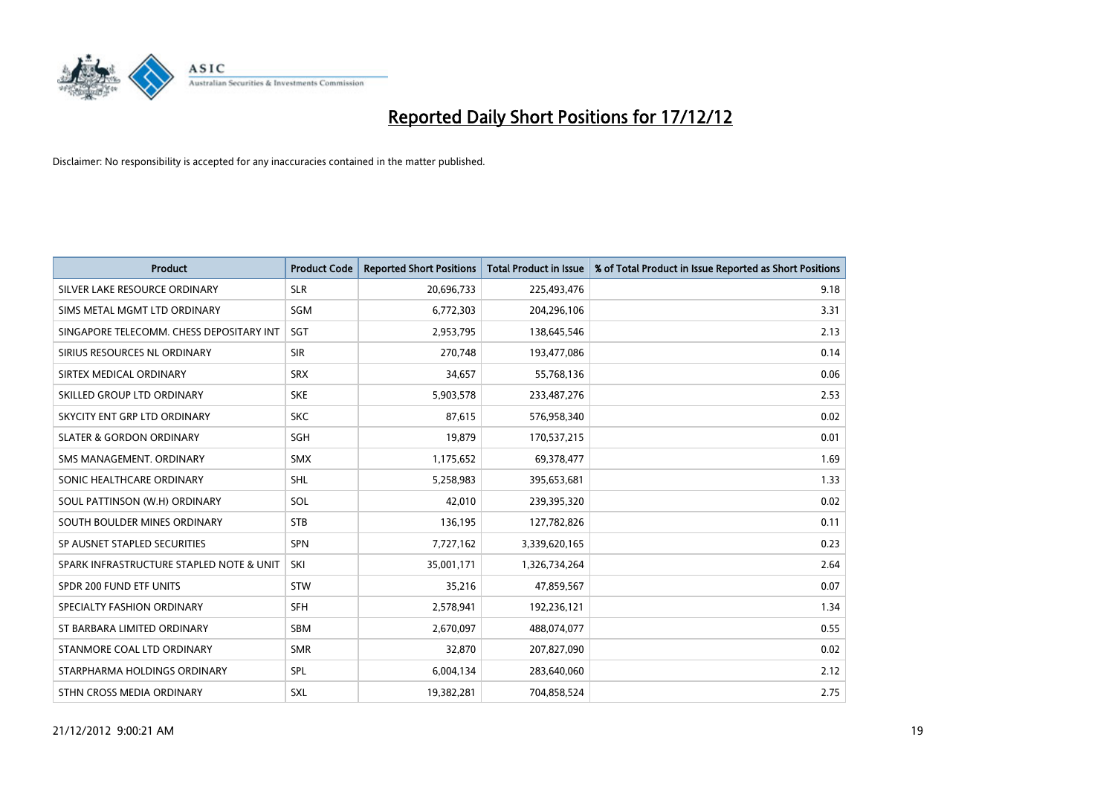

| <b>Product</b>                           | <b>Product Code</b> | <b>Reported Short Positions</b> | <b>Total Product in Issue</b> | % of Total Product in Issue Reported as Short Positions |
|------------------------------------------|---------------------|---------------------------------|-------------------------------|---------------------------------------------------------|
| SILVER LAKE RESOURCE ORDINARY            | <b>SLR</b>          | 20,696,733                      | 225,493,476                   | 9.18                                                    |
| SIMS METAL MGMT LTD ORDINARY             | <b>SGM</b>          | 6,772,303                       | 204,296,106                   | 3.31                                                    |
| SINGAPORE TELECOMM. CHESS DEPOSITARY INT | SGT                 | 2,953,795                       | 138,645,546                   | 2.13                                                    |
| SIRIUS RESOURCES NL ORDINARY             | <b>SIR</b>          | 270,748                         | 193,477,086                   | 0.14                                                    |
| SIRTEX MEDICAL ORDINARY                  | <b>SRX</b>          | 34,657                          | 55,768,136                    | 0.06                                                    |
| SKILLED GROUP LTD ORDINARY               | <b>SKE</b>          | 5,903,578                       | 233,487,276                   | 2.53                                                    |
| SKYCITY ENT GRP LTD ORDINARY             | <b>SKC</b>          | 87,615                          | 576,958,340                   | 0.02                                                    |
| <b>SLATER &amp; GORDON ORDINARY</b>      | <b>SGH</b>          | 19,879                          | 170,537,215                   | 0.01                                                    |
| SMS MANAGEMENT, ORDINARY                 | <b>SMX</b>          | 1,175,652                       | 69,378,477                    | 1.69                                                    |
| SONIC HEALTHCARE ORDINARY                | <b>SHL</b>          | 5,258,983                       | 395,653,681                   | 1.33                                                    |
| SOUL PATTINSON (W.H) ORDINARY            | SOL                 | 42,010                          | 239,395,320                   | 0.02                                                    |
| SOUTH BOULDER MINES ORDINARY             | <b>STB</b>          | 136,195                         | 127,782,826                   | 0.11                                                    |
| SP AUSNET STAPLED SECURITIES             | <b>SPN</b>          | 7,727,162                       | 3,339,620,165                 | 0.23                                                    |
| SPARK INFRASTRUCTURE STAPLED NOTE & UNIT | SKI                 | 35,001,171                      | 1,326,734,264                 | 2.64                                                    |
| SPDR 200 FUND ETF UNITS                  | <b>STW</b>          | 35,216                          | 47,859,567                    | 0.07                                                    |
| SPECIALTY FASHION ORDINARY               | <b>SFH</b>          | 2,578,941                       | 192,236,121                   | 1.34                                                    |
| ST BARBARA LIMITED ORDINARY              | <b>SBM</b>          | 2,670,097                       | 488,074,077                   | 0.55                                                    |
| STANMORE COAL LTD ORDINARY               | <b>SMR</b>          | 32,870                          | 207,827,090                   | 0.02                                                    |
| STARPHARMA HOLDINGS ORDINARY             | SPL                 | 6,004,134                       | 283,640,060                   | 2.12                                                    |
| STHN CROSS MEDIA ORDINARY                | <b>SXL</b>          | 19,382,281                      | 704,858,524                   | 2.75                                                    |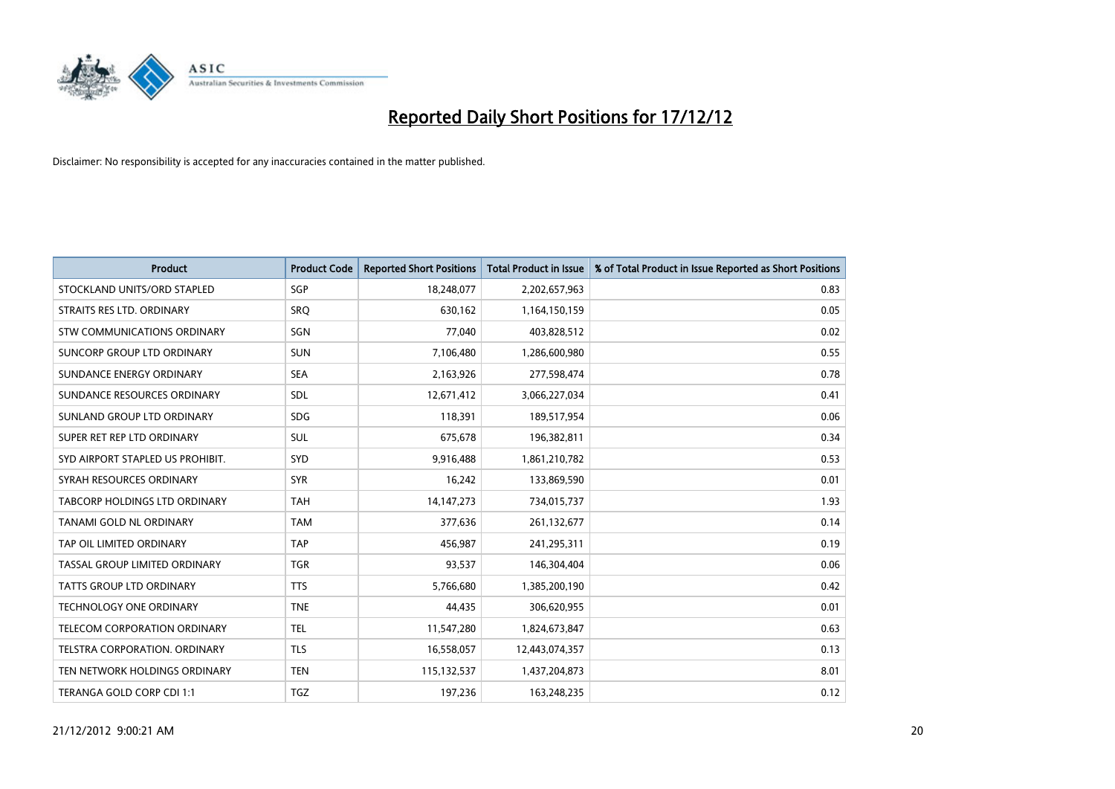

| <b>Product</b>                   | <b>Product Code</b> | <b>Reported Short Positions</b> | <b>Total Product in Issue</b> | % of Total Product in Issue Reported as Short Positions |
|----------------------------------|---------------------|---------------------------------|-------------------------------|---------------------------------------------------------|
| STOCKLAND UNITS/ORD STAPLED      | <b>SGP</b>          | 18,248,077                      | 2,202,657,963                 | 0.83                                                    |
| STRAITS RES LTD. ORDINARY        | SRQ                 | 630,162                         | 1,164,150,159                 | 0.05                                                    |
| STW COMMUNICATIONS ORDINARY      | SGN                 | 77,040                          | 403,828,512                   | 0.02                                                    |
| SUNCORP GROUP LTD ORDINARY       | <b>SUN</b>          | 7,106,480                       | 1,286,600,980                 | 0.55                                                    |
| SUNDANCE ENERGY ORDINARY         | <b>SEA</b>          | 2,163,926                       | 277,598,474                   | 0.78                                                    |
| SUNDANCE RESOURCES ORDINARY      | <b>SDL</b>          | 12,671,412                      | 3,066,227,034                 | 0.41                                                    |
| SUNLAND GROUP LTD ORDINARY       | <b>SDG</b>          | 118,391                         | 189,517,954                   | 0.06                                                    |
| SUPER RET REP LTD ORDINARY       | <b>SUL</b>          | 675,678                         | 196,382,811                   | 0.34                                                    |
| SYD AIRPORT STAPLED US PROHIBIT. | <b>SYD</b>          | 9,916,488                       | 1,861,210,782                 | 0.53                                                    |
| SYRAH RESOURCES ORDINARY         | <b>SYR</b>          | 16,242                          | 133,869,590                   | 0.01                                                    |
| TABCORP HOLDINGS LTD ORDINARY    | <b>TAH</b>          | 14, 147, 273                    | 734,015,737                   | 1.93                                                    |
| TANAMI GOLD NL ORDINARY          | <b>TAM</b>          | 377,636                         | 261,132,677                   | 0.14                                                    |
| TAP OIL LIMITED ORDINARY         | <b>TAP</b>          | 456,987                         | 241,295,311                   | 0.19                                                    |
| TASSAL GROUP LIMITED ORDINARY    | <b>TGR</b>          | 93,537                          | 146,304,404                   | 0.06                                                    |
| <b>TATTS GROUP LTD ORDINARY</b>  | <b>TTS</b>          | 5,766,680                       | 1,385,200,190                 | 0.42                                                    |
| TECHNOLOGY ONE ORDINARY          | <b>TNE</b>          | 44,435                          | 306,620,955                   | 0.01                                                    |
| TELECOM CORPORATION ORDINARY     | <b>TEL</b>          | 11,547,280                      | 1,824,673,847                 | 0.63                                                    |
| TELSTRA CORPORATION, ORDINARY    | <b>TLS</b>          | 16,558,057                      | 12,443,074,357                | 0.13                                                    |
| TEN NETWORK HOLDINGS ORDINARY    | <b>TEN</b>          | 115,132,537                     | 1,437,204,873                 | 8.01                                                    |
| TERANGA GOLD CORP CDI 1:1        | <b>TGZ</b>          | 197,236                         | 163,248,235                   | 0.12                                                    |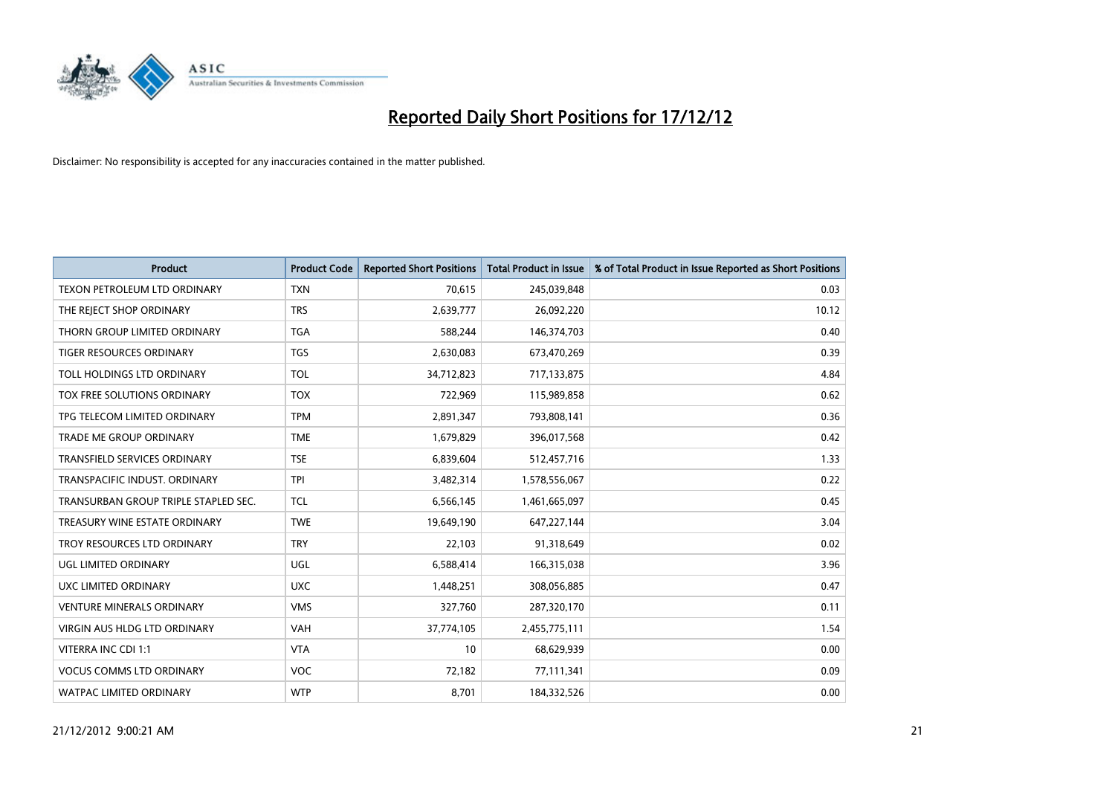

| <b>Product</b>                       | <b>Product Code</b> | <b>Reported Short Positions</b> | <b>Total Product in Issue</b> | % of Total Product in Issue Reported as Short Positions |
|--------------------------------------|---------------------|---------------------------------|-------------------------------|---------------------------------------------------------|
| <b>TEXON PETROLEUM LTD ORDINARY</b>  | <b>TXN</b>          | 70,615                          | 245,039,848                   | 0.03                                                    |
| THE REJECT SHOP ORDINARY             | <b>TRS</b>          | 2,639,777                       | 26,092,220                    | 10.12                                                   |
| THORN GROUP LIMITED ORDINARY         | <b>TGA</b>          | 588,244                         | 146,374,703                   | 0.40                                                    |
| TIGER RESOURCES ORDINARY             | <b>TGS</b>          | 2,630,083                       | 673,470,269                   | 0.39                                                    |
| TOLL HOLDINGS LTD ORDINARY           | <b>TOL</b>          | 34,712,823                      | 717,133,875                   | 4.84                                                    |
| TOX FREE SOLUTIONS ORDINARY          | <b>TOX</b>          | 722,969                         | 115,989,858                   | 0.62                                                    |
| TPG TELECOM LIMITED ORDINARY         | <b>TPM</b>          | 2,891,347                       | 793,808,141                   | 0.36                                                    |
| TRADE ME GROUP ORDINARY              | <b>TME</b>          | 1,679,829                       | 396,017,568                   | 0.42                                                    |
| <b>TRANSFIELD SERVICES ORDINARY</b>  | <b>TSE</b>          | 6,839,604                       | 512,457,716                   | 1.33                                                    |
| TRANSPACIFIC INDUST, ORDINARY        | <b>TPI</b>          | 3,482,314                       | 1,578,556,067                 | 0.22                                                    |
| TRANSURBAN GROUP TRIPLE STAPLED SEC. | <b>TCL</b>          | 6,566,145                       | 1,461,665,097                 | 0.45                                                    |
| TREASURY WINE ESTATE ORDINARY        | <b>TWE</b>          | 19,649,190                      | 647,227,144                   | 3.04                                                    |
| TROY RESOURCES LTD ORDINARY          | <b>TRY</b>          | 22,103                          | 91,318,649                    | 0.02                                                    |
| UGL LIMITED ORDINARY                 | UGL                 | 6,588,414                       | 166,315,038                   | 3.96                                                    |
| UXC LIMITED ORDINARY                 | <b>UXC</b>          | 1,448,251                       | 308,056,885                   | 0.47                                                    |
| <b>VENTURE MINERALS ORDINARY</b>     | <b>VMS</b>          | 327,760                         | 287,320,170                   | 0.11                                                    |
| VIRGIN AUS HLDG LTD ORDINARY         | <b>VAH</b>          | 37,774,105                      | 2,455,775,111                 | 1.54                                                    |
| VITERRA INC CDI 1:1                  | <b>VTA</b>          | 10                              | 68,629,939                    | 0.00                                                    |
| <b>VOCUS COMMS LTD ORDINARY</b>      | <b>VOC</b>          | 72,182                          | 77,111,341                    | 0.09                                                    |
| WATPAC LIMITED ORDINARY              | <b>WTP</b>          | 8,701                           | 184,332,526                   | 0.00                                                    |